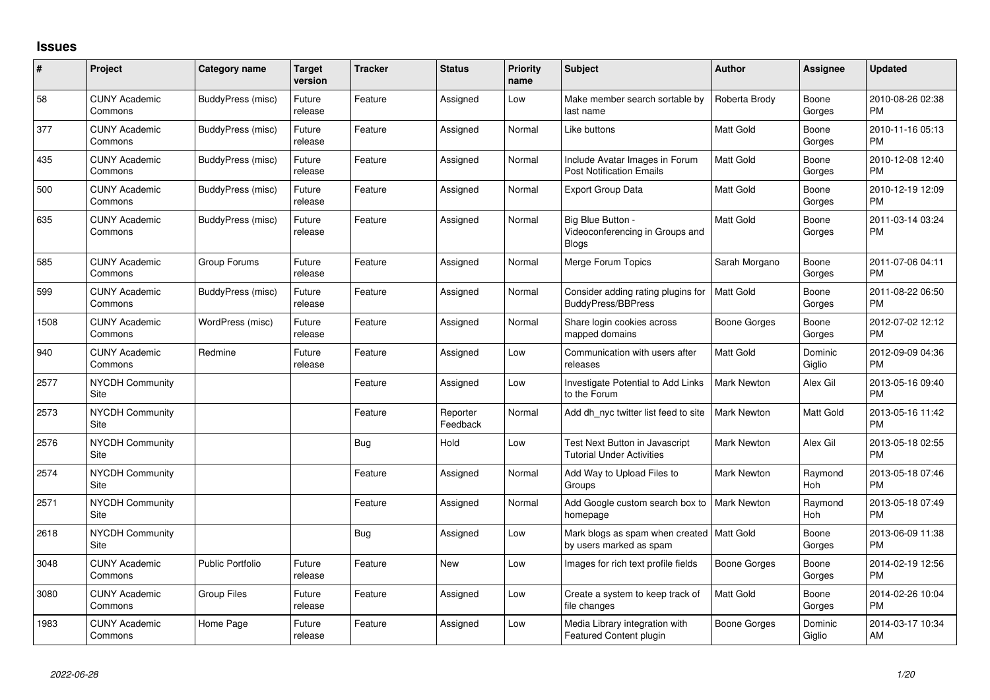## **Issues**

| #    | Project                         | <b>Category name</b>    | <b>Target</b><br>version | <b>Tracker</b> | <b>Status</b>        | <b>Priority</b><br>name | <b>Subject</b>                                                         | <b>Author</b>      | <b>Assignee</b>   | <b>Updated</b>                |
|------|---------------------------------|-------------------------|--------------------------|----------------|----------------------|-------------------------|------------------------------------------------------------------------|--------------------|-------------------|-------------------------------|
| 58   | <b>CUNY Academic</b><br>Commons | BuddyPress (misc)       | Future<br>release        | Feature        | Assigned             | Low                     | Make member search sortable by<br>last name                            | Roberta Brody      | Boone<br>Gorges   | 2010-08-26 02:38<br><b>PM</b> |
| 377  | <b>CUNY Academic</b><br>Commons | BuddyPress (misc)       | Future<br>release        | Feature        | Assigned             | Normal                  | Like buttons                                                           | <b>Matt Gold</b>   | Boone<br>Gorges   | 2010-11-16 05:13<br><b>PM</b> |
| 435  | <b>CUNY Academic</b><br>Commons | BuddyPress (misc)       | Future<br>release        | Feature        | Assigned             | Normal                  | Include Avatar Images in Forum<br><b>Post Notification Emails</b>      | <b>Matt Gold</b>   | Boone<br>Gorges   | 2010-12-08 12:40<br><b>PM</b> |
| 500  | <b>CUNY Academic</b><br>Commons | BuddyPress (misc)       | Future<br>release        | Feature        | Assigned             | Normal                  | <b>Export Group Data</b>                                               | Matt Gold          | Boone<br>Gorges   | 2010-12-19 12:09<br><b>PM</b> |
| 635  | <b>CUNY Academic</b><br>Commons | BuddyPress (misc)       | Future<br>release        | Feature        | Assigned             | Normal                  | Big Blue Button -<br>Videoconferencing in Groups and<br><b>Blogs</b>   | <b>Matt Gold</b>   | Boone<br>Gorges   | 2011-03-14 03:24<br><b>PM</b> |
| 585  | <b>CUNY Academic</b><br>Commons | Group Forums            | Future<br>release        | Feature        | Assigned             | Normal                  | Merge Forum Topics                                                     | Sarah Morgano      | Boone<br>Gorges   | 2011-07-06 04:11<br><b>PM</b> |
| 599  | <b>CUNY Academic</b><br>Commons | BuddyPress (misc)       | Future<br>release        | Feature        | Assigned             | Normal                  | Consider adding rating plugins for<br>BuddyPress/BBPress               | <b>Matt Gold</b>   | Boone<br>Gorges   | 2011-08-22 06:50<br><b>PM</b> |
| 1508 | <b>CUNY Academic</b><br>Commons | WordPress (misc)        | Future<br>release        | Feature        | Assigned             | Normal                  | Share login cookies across<br>mapped domains                           | Boone Gorges       | Boone<br>Gorges   | 2012-07-02 12:12<br><b>PM</b> |
| 940  | <b>CUNY Academic</b><br>Commons | Redmine                 | Future<br>release        | Feature        | Assigned             | Low                     | Communication with users after<br>releases                             | <b>Matt Gold</b>   | Dominic<br>Giglio | 2012-09-09 04:36<br><b>PM</b> |
| 2577 | <b>NYCDH Community</b><br>Site  |                         |                          | Feature        | Assigned             | Low                     | <b>Investigate Potential to Add Links</b><br>to the Forum              | <b>Mark Newton</b> | Alex Gil          | 2013-05-16 09:40<br><b>PM</b> |
| 2573 | <b>NYCDH Community</b><br>Site  |                         |                          | Feature        | Reporter<br>Feedback | Normal                  | Add dh nyc twitter list feed to site                                   | <b>Mark Newton</b> | Matt Gold         | 2013-05-16 11:42<br><b>PM</b> |
| 2576 | <b>NYCDH Community</b><br>Site  |                         |                          | <b>Bug</b>     | Hold                 | Low                     | Test Next Button in Javascript<br><b>Tutorial Under Activities</b>     | <b>Mark Newton</b> | Alex Gil          | 2013-05-18 02:55<br><b>PM</b> |
| 2574 | NYCDH Community<br>Site         |                         |                          | Feature        | Assigned             | Normal                  | Add Way to Upload Files to<br>Groups                                   | <b>Mark Newton</b> | Raymond<br>Hoh    | 2013-05-18 07:46<br><b>PM</b> |
| 2571 | <b>NYCDH Community</b><br>Site  |                         |                          | Feature        | Assigned             | Normal                  | Add Google custom search box to<br>homepage                            | <b>Mark Newton</b> | Raymond<br>Hoh    | 2013-05-18 07:49<br><b>PM</b> |
| 2618 | <b>NYCDH Community</b><br>Site  |                         |                          | <b>Bug</b>     | Assigned             | Low                     | Mark blogs as spam when created   Matt Gold<br>by users marked as spam |                    | Boone<br>Gorges   | 2013-06-09 11:38<br><b>PM</b> |
| 3048 | <b>CUNY Academic</b><br>Commons | <b>Public Portfolio</b> | Future<br>release        | Feature        | New                  | Low                     | Images for rich text profile fields                                    | Boone Gorges       | Boone<br>Gorges   | 2014-02-19 12:56<br><b>PM</b> |
| 3080 | <b>CUNY Academic</b><br>Commons | <b>Group Files</b>      | Future<br>release        | Feature        | Assigned             | Low                     | Create a system to keep track of<br>file changes                       | Matt Gold          | Boone<br>Gorges   | 2014-02-26 10:04<br><b>PM</b> |
| 1983 | <b>CUNY Academic</b><br>Commons | Home Page               | Future<br>release        | Feature        | Assigned             | Low                     | Media Library integration with<br>Featured Content plugin              | Boone Gorges       | Dominic<br>Giglio | 2014-03-17 10:34<br>AM        |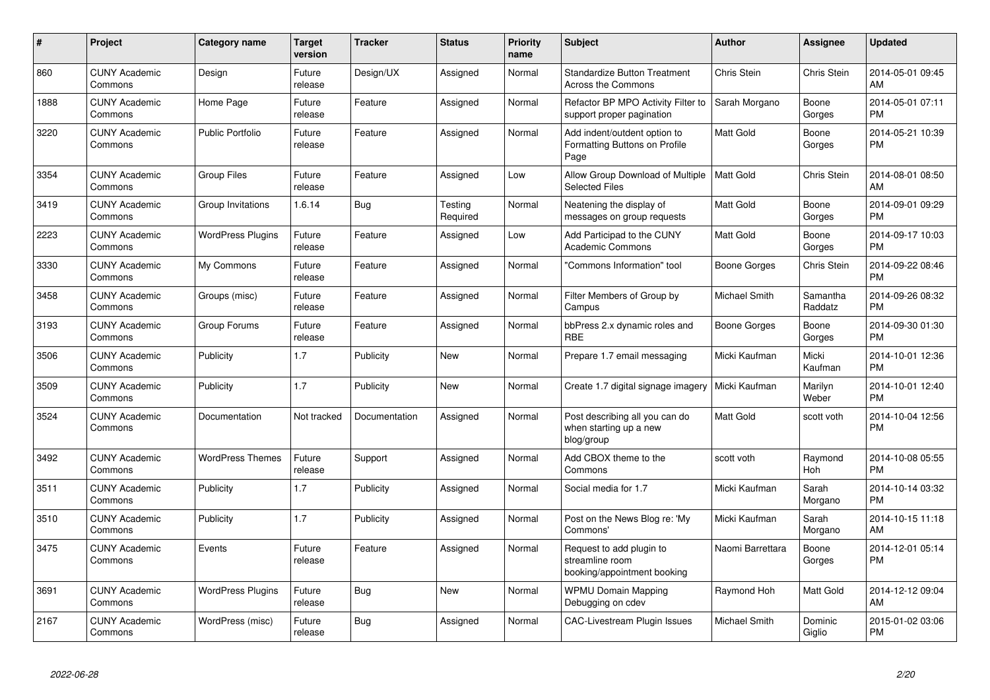| #    | Project                         | Category name            | <b>Target</b><br>version | <b>Tracker</b> | <b>Status</b>       | Priority<br>name | <b>Subject</b>                                                             | <b>Author</b>    | Assignee            | <b>Updated</b>                |
|------|---------------------------------|--------------------------|--------------------------|----------------|---------------------|------------------|----------------------------------------------------------------------------|------------------|---------------------|-------------------------------|
| 860  | <b>CUNY Academic</b><br>Commons | Design                   | Future<br>release        | Design/UX      | Assigned            | Normal           | <b>Standardize Button Treatment</b><br>Across the Commons                  | Chris Stein      | Chris Stein         | 2014-05-01 09:45<br>AM        |
| 1888 | <b>CUNY Academic</b><br>Commons | Home Page                | Future<br>release        | Feature        | Assigned            | Normal           | Refactor BP MPO Activity Filter to<br>support proper pagination            | Sarah Morgano    | Boone<br>Gorges     | 2014-05-01 07:11<br><b>PM</b> |
| 3220 | <b>CUNY Academic</b><br>Commons | <b>Public Portfolio</b>  | Future<br>release        | Feature        | Assigned            | Normal           | Add indent/outdent option to<br>Formatting Buttons on Profile<br>Page      | Matt Gold        | Boone<br>Gorges     | 2014-05-21 10:39<br><b>PM</b> |
| 3354 | <b>CUNY Academic</b><br>Commons | <b>Group Files</b>       | Future<br>release        | Feature        | Assigned            | Low              | Allow Group Download of Multiple<br><b>Selected Files</b>                  | <b>Matt Gold</b> | Chris Stein         | 2014-08-01 08:50<br>AM        |
| 3419 | <b>CUNY Academic</b><br>Commons | Group Invitations        | 1.6.14                   | Bug            | Testing<br>Required | Normal           | Neatening the display of<br>messages on group requests                     | Matt Gold        | Boone<br>Gorges     | 2014-09-01 09:29<br><b>PM</b> |
| 2223 | <b>CUNY Academic</b><br>Commons | <b>WordPress Plugins</b> | Future<br>release        | Feature        | Assigned            | Low              | Add Participad to the CUNY<br><b>Academic Commons</b>                      | Matt Gold        | Boone<br>Gorges     | 2014-09-17 10:03<br><b>PM</b> |
| 3330 | <b>CUNY Academic</b><br>Commons | My Commons               | Future<br>release        | Feature        | Assigned            | Normal           | "Commons Information" tool                                                 | Boone Gorges     | Chris Stein         | 2014-09-22 08:46<br><b>PM</b> |
| 3458 | <b>CUNY Academic</b><br>Commons | Groups (misc)            | Future<br>release        | Feature        | Assigned            | Normal           | Filter Members of Group by<br>Campus                                       | Michael Smith    | Samantha<br>Raddatz | 2014-09-26 08:32<br><b>PM</b> |
| 3193 | <b>CUNY Academic</b><br>Commons | Group Forums             | Future<br>release        | Feature        | Assigned            | Normal           | bbPress 2.x dynamic roles and<br><b>RBE</b>                                | Boone Gorges     | Boone<br>Gorges     | 2014-09-30 01:30<br><b>PM</b> |
| 3506 | <b>CUNY Academic</b><br>Commons | Publicity                | 1.7                      | Publicity      | New                 | Normal           | Prepare 1.7 email messaging                                                | Micki Kaufman    | Micki<br>Kaufman    | 2014-10-01 12:36<br><b>PM</b> |
| 3509 | <b>CUNY Academic</b><br>Commons | Publicity                | 1.7                      | Publicity      | <b>New</b>          | Normal           | Create 1.7 digital signage imagery                                         | Micki Kaufman    | Marilyn<br>Weber    | 2014-10-01 12:40<br><b>PM</b> |
| 3524 | <b>CUNY Academic</b><br>Commons | Documentation            | Not tracked              | Documentation  | Assigned            | Normal           | Post describing all you can do<br>when starting up a new<br>blog/group     | Matt Gold        | scott voth          | 2014-10-04 12:56<br><b>PM</b> |
| 3492 | <b>CUNY Academic</b><br>Commons | <b>WordPress Themes</b>  | Future<br>release        | Support        | Assigned            | Normal           | Add CBOX theme to the<br>Commons                                           | scott voth       | Raymond<br>Hoh      | 2014-10-08 05:55<br><b>PM</b> |
| 3511 | <b>CUNY Academic</b><br>Commons | Publicity                | 1.7                      | Publicity      | Assigned            | Normal           | Social media for 1.7                                                       | Micki Kaufman    | Sarah<br>Morgano    | 2014-10-14 03:32<br><b>PM</b> |
| 3510 | <b>CUNY Academic</b><br>Commons | Publicity                | 1.7                      | Publicity      | Assigned            | Normal           | Post on the News Blog re: 'My<br>Commons'                                  | Micki Kaufman    | Sarah<br>Morgano    | 2014-10-15 11:18<br>AM        |
| 3475 | <b>CUNY Academic</b><br>Commons | Events                   | Future<br>release        | Feature        | Assigned            | Normal           | Request to add plugin to<br>streamline room<br>booking/appointment booking | Naomi Barrettara | Boone<br>Gorges     | 2014-12-01 05:14<br><b>PM</b> |
| 3691 | <b>CUNY Academic</b><br>Commons | <b>WordPress Plugins</b> | Future<br>release        | Bug            | <b>New</b>          | Normal           | <b>WPMU Domain Mapping</b><br>Debugging on cdev                            | Raymond Hoh      | Matt Gold           | 2014-12-12 09:04<br>AM        |
| 2167 | <b>CUNY Academic</b><br>Commons | WordPress (misc)         | Future<br>release        | Bug            | Assigned            | Normal           | CAC-Livestream Plugin Issues                                               | Michael Smith    | Dominic<br>Giglio   | 2015-01-02 03:06<br><b>PM</b> |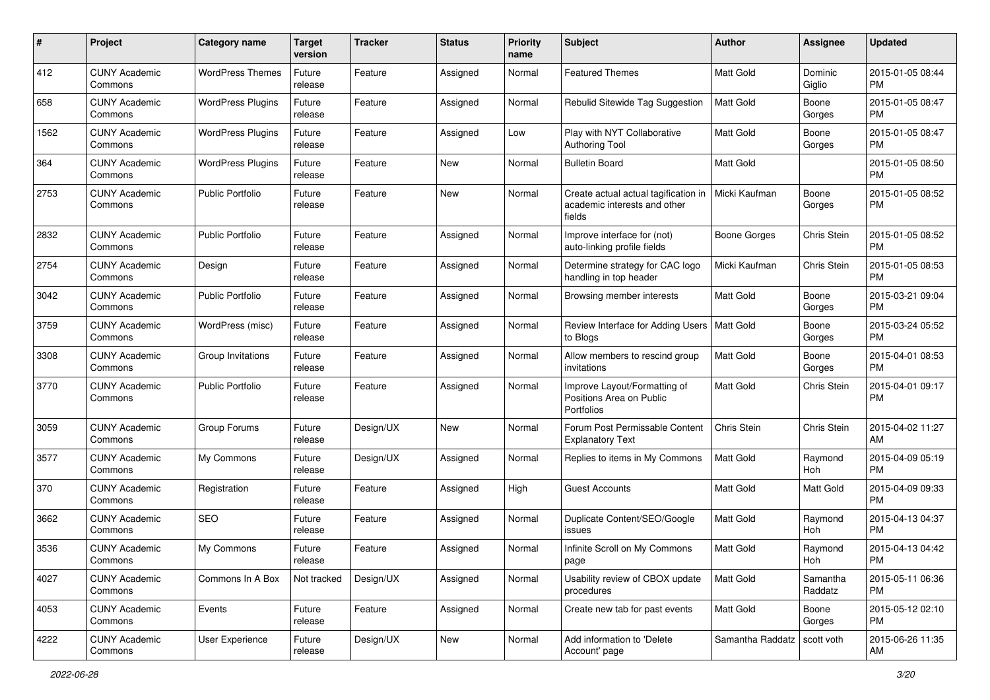| #    | Project                         | <b>Category name</b>     | <b>Target</b><br>version | <b>Tracker</b> | <b>Status</b> | <b>Priority</b><br>name | <b>Subject</b>                                                                 | Author              | <b>Assignee</b>     | <b>Updated</b>                |
|------|---------------------------------|--------------------------|--------------------------|----------------|---------------|-------------------------|--------------------------------------------------------------------------------|---------------------|---------------------|-------------------------------|
| 412  | <b>CUNY Academic</b><br>Commons | <b>WordPress Themes</b>  | Future<br>release        | Feature        | Assigned      | Normal                  | <b>Featured Themes</b>                                                         | <b>Matt Gold</b>    | Dominic<br>Giglio   | 2015-01-05 08:44<br><b>PM</b> |
| 658  | <b>CUNY Academic</b><br>Commons | <b>WordPress Plugins</b> | Future<br>release        | Feature        | Assigned      | Normal                  | Rebulid Sitewide Tag Suggestion                                                | <b>Matt Gold</b>    | Boone<br>Gorges     | 2015-01-05 08:47<br><b>PM</b> |
| 1562 | CUNY Academic<br>Commons        | <b>WordPress Plugins</b> | Future<br>release        | Feature        | Assigned      | Low                     | Play with NYT Collaborative<br><b>Authoring Tool</b>                           | <b>Matt Gold</b>    | Boone<br>Gorges     | 2015-01-05 08:47<br><b>PM</b> |
| 364  | <b>CUNY Academic</b><br>Commons | <b>WordPress Plugins</b> | Future<br>release        | Feature        | <b>New</b>    | Normal                  | <b>Bulletin Board</b>                                                          | <b>Matt Gold</b>    |                     | 2015-01-05 08:50<br><b>PM</b> |
| 2753 | <b>CUNY Academic</b><br>Commons | <b>Public Portfolio</b>  | Future<br>release        | Feature        | New           | Normal                  | Create actual actual tagification in<br>academic interests and other<br>fields | Micki Kaufman       | Boone<br>Gorges     | 2015-01-05 08:52<br><b>PM</b> |
| 2832 | <b>CUNY Academic</b><br>Commons | <b>Public Portfolio</b>  | Future<br>release        | Feature        | Assigned      | Normal                  | Improve interface for (not)<br>auto-linking profile fields                     | <b>Boone Gorges</b> | Chris Stein         | 2015-01-05 08:52<br><b>PM</b> |
| 2754 | <b>CUNY Academic</b><br>Commons | Design                   | Future<br>release        | Feature        | Assigned      | Normal                  | Determine strategy for CAC logo<br>handling in top header                      | Micki Kaufman       | Chris Stein         | 2015-01-05 08:53<br><b>PM</b> |
| 3042 | <b>CUNY Academic</b><br>Commons | <b>Public Portfolio</b>  | Future<br>release        | Feature        | Assigned      | Normal                  | Browsing member interests                                                      | Matt Gold           | Boone<br>Gorges     | 2015-03-21 09:04<br><b>PM</b> |
| 3759 | <b>CUNY Academic</b><br>Commons | WordPress (misc)         | Future<br>release        | Feature        | Assigned      | Normal                  | Review Interface for Adding Users   Matt Gold<br>to Blogs                      |                     | Boone<br>Gorges     | 2015-03-24 05:52<br><b>PM</b> |
| 3308 | <b>CUNY Academic</b><br>Commons | Group Invitations        | Future<br>release        | Feature        | Assigned      | Normal                  | Allow members to rescind group<br>invitations                                  | Matt Gold           | Boone<br>Gorges     | 2015-04-01 08:53<br><b>PM</b> |
| 3770 | <b>CUNY Academic</b><br>Commons | <b>Public Portfolio</b>  | Future<br>release        | Feature        | Assigned      | Normal                  | Improve Layout/Formatting of<br>Positions Area on Public<br>Portfolios         | Matt Gold           | Chris Stein         | 2015-04-01 09:17<br><b>PM</b> |
| 3059 | <b>CUNY Academic</b><br>Commons | Group Forums             | Future<br>release        | Design/UX      | <b>New</b>    | Normal                  | Forum Post Permissable Content<br><b>Explanatory Text</b>                      | Chris Stein         | Chris Stein         | 2015-04-02 11:27<br>AM        |
| 3577 | <b>CUNY Academic</b><br>Commons | My Commons               | Future<br>release        | Design/UX      | Assigned      | Normal                  | Replies to items in My Commons                                                 | <b>Matt Gold</b>    | Raymond<br>Hoh      | 2015-04-09 05:19<br><b>PM</b> |
| 370  | <b>CUNY Academic</b><br>Commons | Registration             | Future<br>release        | Feature        | Assigned      | High                    | <b>Guest Accounts</b>                                                          | Matt Gold           | Matt Gold           | 2015-04-09 09:33<br><b>PM</b> |
| 3662 | <b>CUNY Academic</b><br>Commons | <b>SEO</b>               | Future<br>release        | Feature        | Assigned      | Normal                  | Duplicate Content/SEO/Google<br>issues                                         | Matt Gold           | Raymond<br>Hoh      | 2015-04-13 04:37<br><b>PM</b> |
| 3536 | <b>CUNY Academic</b><br>Commons | My Commons               | Future<br>release        | Feature        | Assigned      | Normal                  | Infinite Scroll on My Commons<br>page                                          | Matt Gold           | Raymond<br>Hoh      | 2015-04-13 04:42<br>PM        |
| 4027 | <b>CUNY Academic</b><br>Commons | Commons In A Box         | Not tracked              | Design/UX      | Assigned      | Normal                  | Usability review of CBOX update<br>procedures                                  | Matt Gold           | Samantha<br>Raddatz | 2015-05-11 06:36<br><b>PM</b> |
| 4053 | <b>CUNY Academic</b><br>Commons | Events                   | Future<br>release        | Feature        | Assigned      | Normal                  | Create new tab for past events                                                 | Matt Gold           | Boone<br>Gorges     | 2015-05-12 02:10<br><b>PM</b> |
| 4222 | <b>CUNY Academic</b><br>Commons | User Experience          | Future<br>release        | Design/UX      | New           | Normal                  | Add information to 'Delete<br>Account' page                                    | Samantha Raddatz    | scott voth          | 2015-06-26 11:35<br>AM        |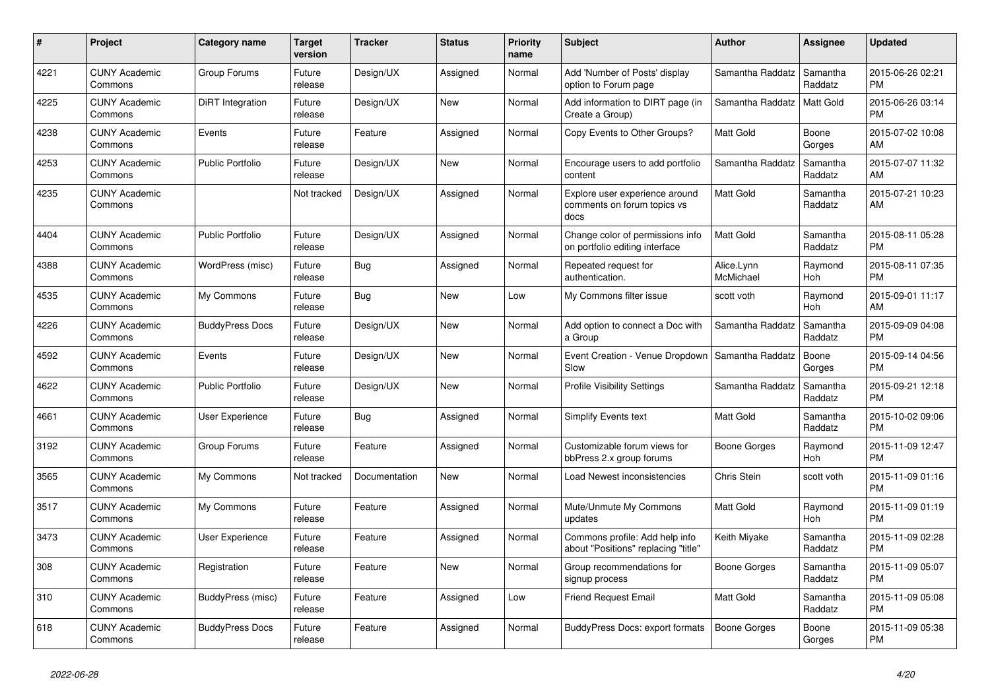| #    | Project                         | Category name           | <b>Target</b><br>version | <b>Tracker</b> | <b>Status</b> | Priority<br>name | <b>Subject</b>                                                        | <b>Author</b>           | Assignee              | <b>Updated</b>                |
|------|---------------------------------|-------------------------|--------------------------|----------------|---------------|------------------|-----------------------------------------------------------------------|-------------------------|-----------------------|-------------------------------|
| 4221 | <b>CUNY Academic</b><br>Commons | Group Forums            | Future<br>release        | Design/UX      | Assigned      | Normal           | Add 'Number of Posts' display<br>option to Forum page                 | Samantha Raddatz        | Samantha<br>Raddatz   | 2015-06-26 02:21<br><b>PM</b> |
| 4225 | <b>CUNY Academic</b><br>Commons | <b>DiRT</b> Integration | Future<br>release        | Design/UX      | <b>New</b>    | Normal           | Add information to DIRT page (in<br>Create a Group)                   | Samantha Raddatz        | <b>Matt Gold</b>      | 2015-06-26 03:14<br><b>PM</b> |
| 4238 | <b>CUNY Academic</b><br>Commons | Events                  | Future<br>release        | Feature        | Assigned      | Normal           | Copy Events to Other Groups?                                          | Matt Gold               | Boone<br>Gorges       | 2015-07-02 10:08<br>AM        |
| 4253 | <b>CUNY Academic</b><br>Commons | <b>Public Portfolio</b> | Future<br>release        | Design/UX      | <b>New</b>    | Normal           | Encourage users to add portfolio<br>content                           | Samantha Raddatz        | Samantha<br>Raddatz   | 2015-07-07 11:32<br>AM        |
| 4235 | <b>CUNY Academic</b><br>Commons |                         | Not tracked              | Design/UX      | Assigned      | Normal           | Explore user experience around<br>comments on forum topics vs<br>docs | Matt Gold               | Samantha<br>Raddatz   | 2015-07-21 10:23<br>AM        |
| 4404 | <b>CUNY Academic</b><br>Commons | <b>Public Portfolio</b> | Future<br>release        | Design/UX      | Assigned      | Normal           | Change color of permissions info<br>on portfolio editing interface    | <b>Matt Gold</b>        | Samantha<br>Raddatz   | 2015-08-11 05:28<br><b>PM</b> |
| 4388 | <b>CUNY Academic</b><br>Commons | WordPress (misc)        | Future<br>release        | Bug            | Assigned      | Normal           | Repeated request for<br>authentication.                               | Alice.Lynn<br>McMichael | Raymond<br>Hoh        | 2015-08-11 07:35<br><b>PM</b> |
| 4535 | <b>CUNY Academic</b><br>Commons | My Commons              | Future<br>release        | Bug            | <b>New</b>    | Low              | My Commons filter issue                                               | scott voth              | Raymond<br>Hoh        | 2015-09-01 11:17<br>AM        |
| 4226 | <b>CUNY Academic</b><br>Commons | <b>BuddyPress Docs</b>  | Future<br>release        | Design/UX      | <b>New</b>    | Normal           | Add option to connect a Doc with<br>a Group                           | Samantha Raddatz        | Samantha<br>Raddatz   | 2015-09-09 04:08<br><b>PM</b> |
| 4592 | <b>CUNY Academic</b><br>Commons | Events                  | Future<br>release        | Design/UX      | <b>New</b>    | Normal           | Event Creation - Venue Dropdown<br>Slow                               | Samantha Raddatz        | Boone<br>Gorges       | 2015-09-14 04:56<br><b>PM</b> |
| 4622 | <b>CUNY Academic</b><br>Commons | <b>Public Portfolio</b> | Future<br>release        | Design/UX      | <b>New</b>    | Normal           | <b>Profile Visibility Settings</b>                                    | Samantha Raddatz        | Samantha<br>Raddatz   | 2015-09-21 12:18<br><b>PM</b> |
| 4661 | <b>CUNY Academic</b><br>Commons | <b>User Experience</b>  | Future<br>release        | Bug            | Assigned      | Normal           | Simplify Events text                                                  | <b>Matt Gold</b>        | Samantha<br>Raddatz   | 2015-10-02 09:06<br><b>PM</b> |
| 3192 | <b>CUNY Academic</b><br>Commons | Group Forums            | Future<br>release        | Feature        | Assigned      | Normal           | Customizable forum views for<br>bbPress 2.x group forums              | Boone Gorges            | Raymond<br><b>Hoh</b> | 2015-11-09 12:47<br><b>PM</b> |
| 3565 | <b>CUNY Academic</b><br>Commons | My Commons              | Not tracked              | Documentation  | <b>New</b>    | Normal           | Load Newest inconsistencies                                           | <b>Chris Stein</b>      | scott voth            | 2015-11-09 01:16<br><b>PM</b> |
| 3517 | <b>CUNY Academic</b><br>Commons | My Commons              | Future<br>release        | Feature        | Assigned      | Normal           | Mute/Unmute My Commons<br>updates                                     | <b>Matt Gold</b>        | Raymond<br>Hoh        | 2015-11-09 01:19<br><b>PM</b> |
| 3473 | <b>CUNY Academic</b><br>Commons | <b>User Experience</b>  | Future<br>release        | Feature        | Assigned      | Normal           | Commons profile: Add help info<br>about "Positions" replacing "title" | Keith Miyake            | Samantha<br>Raddatz   | 2015-11-09 02:28<br><b>PM</b> |
| 308  | <b>CUNY Academic</b><br>Commons | Registration            | Future<br>release        | Feature        | <b>New</b>    | Normal           | Group recommendations for<br>signup process                           | Boone Gorges            | Samantha<br>Raddatz   | 2015-11-09 05:07<br><b>PM</b> |
| 310  | <b>CUNY Academic</b><br>Commons | BuddyPress (misc)       | Future<br>release        | Feature        | Assigned      | Low              | <b>Friend Request Email</b>                                           | <b>Matt Gold</b>        | Samantha<br>Raddatz   | 2015-11-09 05:08<br><b>PM</b> |
| 618  | <b>CUNY Academic</b><br>Commons | <b>BuddyPress Docs</b>  | Future<br>release        | Feature        | Assigned      | Normal           | BuddyPress Docs: export formats                                       | <b>Boone Gorges</b>     | Boone<br>Gorges       | 2015-11-09 05:38<br><b>PM</b> |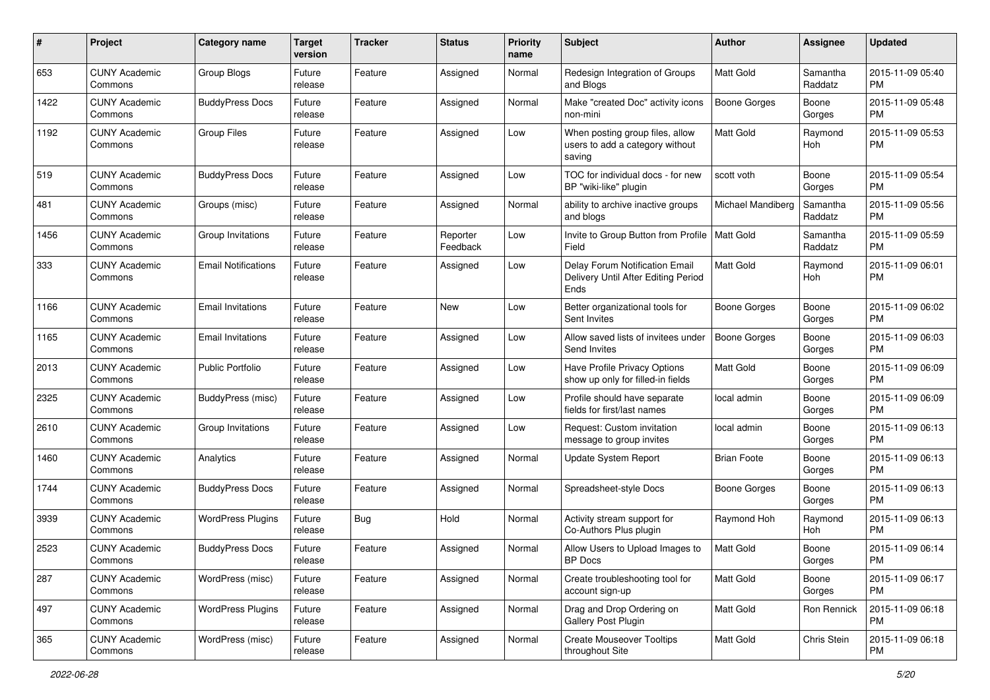| #    | Project                         | <b>Category name</b>       | <b>Target</b><br>version | <b>Tracker</b> | <b>Status</b>        | <b>Priority</b><br>name | <b>Subject</b>                                                                | Author              | <b>Assignee</b>     | <b>Updated</b>                |
|------|---------------------------------|----------------------------|--------------------------|----------------|----------------------|-------------------------|-------------------------------------------------------------------------------|---------------------|---------------------|-------------------------------|
| 653  | <b>CUNY Academic</b><br>Commons | Group Blogs                | Future<br>release        | Feature        | Assigned             | Normal                  | Redesign Integration of Groups<br>and Blogs                                   | <b>Matt Gold</b>    | Samantha<br>Raddatz | 2015-11-09 05:40<br><b>PM</b> |
| 1422 | <b>CUNY Academic</b><br>Commons | <b>BuddyPress Docs</b>     | Future<br>release        | Feature        | Assigned             | Normal                  | Make "created Doc" activity icons<br>non-mini                                 | <b>Boone Gorges</b> | Boone<br>Gorges     | 2015-11-09 05:48<br><b>PM</b> |
| 1192 | <b>CUNY Academic</b><br>Commons | <b>Group Files</b>         | Future<br>release        | Feature        | Assigned             | Low                     | When posting group files, allow<br>users to add a category without<br>saving  | <b>Matt Gold</b>    | Raymond<br>Hoh      | 2015-11-09 05:53<br><b>PM</b> |
| 519  | <b>CUNY Academic</b><br>Commons | <b>BuddyPress Docs</b>     | Future<br>release        | Feature        | Assigned             | Low                     | TOC for individual docs - for new<br>BP "wiki-like" plugin                    | scott voth          | Boone<br>Gorges     | 2015-11-09 05:54<br><b>PM</b> |
| 481  | <b>CUNY Academic</b><br>Commons | Groups (misc)              | Future<br>release        | Feature        | Assigned             | Normal                  | ability to archive inactive groups<br>and blogs                               | Michael Mandiberg   | Samantha<br>Raddatz | 2015-11-09 05:56<br><b>PM</b> |
| 1456 | <b>CUNY Academic</b><br>Commons | Group Invitations          | Future<br>release        | Feature        | Reporter<br>Feedback | Low                     | Invite to Group Button from Profile   Matt Gold<br>Field                      |                     | Samantha<br>Raddatz | 2015-11-09 05:59<br><b>PM</b> |
| 333  | <b>CUNY Academic</b><br>Commons | <b>Email Notifications</b> | Future<br>release        | Feature        | Assigned             | Low                     | Delay Forum Notification Email<br>Delivery Until After Editing Period<br>Ends | <b>Matt Gold</b>    | Raymond<br>Hoh      | 2015-11-09 06:01<br><b>PM</b> |
| 1166 | <b>CUNY Academic</b><br>Commons | <b>Email Invitations</b>   | Future<br>release        | Feature        | New                  | Low                     | Better organizational tools for<br>Sent Invites                               | <b>Boone Gorges</b> | Boone<br>Gorges     | 2015-11-09 06:02<br><b>PM</b> |
| 1165 | <b>CUNY Academic</b><br>Commons | <b>Email Invitations</b>   | Future<br>release        | Feature        | Assigned             | Low                     | Allow saved lists of invitees under<br>Send Invites                           | <b>Boone Gorges</b> | Boone<br>Gorges     | 2015-11-09 06:03<br><b>PM</b> |
| 2013 | <b>CUNY Academic</b><br>Commons | <b>Public Portfolio</b>    | Future<br>release        | Feature        | Assigned             | Low                     | Have Profile Privacy Options<br>show up only for filled-in fields             | <b>Matt Gold</b>    | Boone<br>Gorges     | 2015-11-09 06:09<br><b>PM</b> |
| 2325 | <b>CUNY Academic</b><br>Commons | BuddyPress (misc)          | Future<br>release        | Feature        | Assigned             | Low                     | Profile should have separate<br>fields for first/last names                   | local admin         | Boone<br>Gorges     | 2015-11-09 06:09<br><b>PM</b> |
| 2610 | <b>CUNY Academic</b><br>Commons | Group Invitations          | Future<br>release        | Feature        | Assigned             | Low                     | Request: Custom invitation<br>message to group invites                        | local admin         | Boone<br>Gorges     | 2015-11-09 06:13<br><b>PM</b> |
| 1460 | <b>CUNY Academic</b><br>Commons | Analytics                  | Future<br>release        | Feature        | Assigned             | Normal                  | Update System Report                                                          | <b>Brian Foote</b>  | Boone<br>Gorges     | 2015-11-09 06:13<br><b>PM</b> |
| 1744 | <b>CUNY Academic</b><br>Commons | <b>BuddyPress Docs</b>     | Future<br>release        | Feature        | Assigned             | Normal                  | Spreadsheet-style Docs                                                        | <b>Boone Gorges</b> | Boone<br>Gorges     | 2015-11-09 06:13<br><b>PM</b> |
| 3939 | <b>CUNY Academic</b><br>Commons | <b>WordPress Plugins</b>   | Future<br>release        | <b>Bug</b>     | Hold                 | Normal                  | Activity stream support for<br>Co-Authors Plus plugin                         | Raymond Hoh         | Raymond<br>Hoh      | 2015-11-09 06:13<br><b>PM</b> |
| 2523 | <b>CUNY Academic</b><br>Commons | <b>BuddyPress Docs</b>     | Future<br>release        | Feature        | Assigned             | Normal                  | Allow Users to Upload Images to<br>BP Docs                                    | Matt Gold           | Boone<br>Gorges     | 2015-11-09 06:14<br>PM        |
| 287  | <b>CUNY Academic</b><br>Commons | WordPress (misc)           | Future<br>release        | Feature        | Assigned             | Normal                  | Create troubleshooting tool for<br>account sign-up                            | Matt Gold           | Boone<br>Gorges     | 2015-11-09 06:17<br><b>PM</b> |
| 497  | <b>CUNY Academic</b><br>Commons | <b>WordPress Plugins</b>   | Future<br>release        | Feature        | Assigned             | Normal                  | Drag and Drop Ordering on<br>Gallery Post Plugin                              | Matt Gold           | Ron Rennick         | 2015-11-09 06:18<br>PM        |
| 365  | <b>CUNY Academic</b><br>Commons | WordPress (misc)           | Future<br>release        | Feature        | Assigned             | Normal                  | <b>Create Mouseover Tooltips</b><br>throughout Site                           | Matt Gold           | Chris Stein         | 2015-11-09 06:18<br>PM        |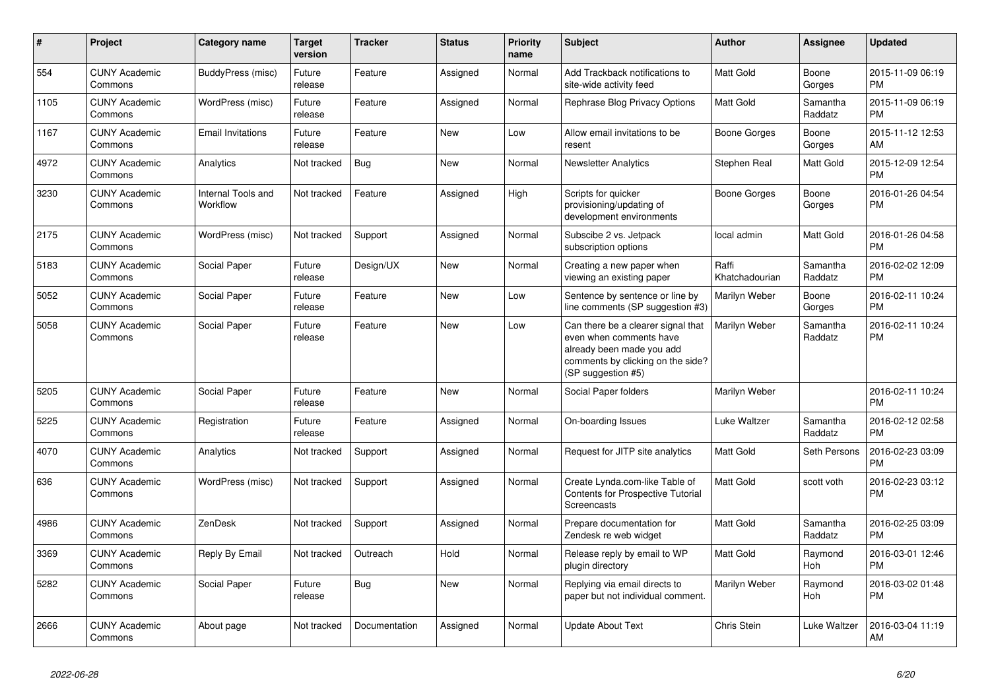| $\#$ | Project                         | Category name                  | <b>Target</b><br>version | <b>Tracker</b> | <b>Status</b> | Priority<br>name | <b>Subject</b>                                                                                                                                        | Author                  | Assignee              | <b>Updated</b>                |
|------|---------------------------------|--------------------------------|--------------------------|----------------|---------------|------------------|-------------------------------------------------------------------------------------------------------------------------------------------------------|-------------------------|-----------------------|-------------------------------|
| 554  | <b>CUNY Academic</b><br>Commons | BuddyPress (misc)              | Future<br>release        | Feature        | Assigned      | Normal           | Add Trackback notifications to<br>site-wide activity feed                                                                                             | Matt Gold               | Boone<br>Gorges       | 2015-11-09 06:19<br><b>PM</b> |
| 1105 | <b>CUNY Academic</b><br>Commons | WordPress (misc)               | Future<br>release        | Feature        | Assigned      | Normal           | Rephrase Blog Privacy Options                                                                                                                         | <b>Matt Gold</b>        | Samantha<br>Raddatz   | 2015-11-09 06:19<br><b>PM</b> |
| 1167 | <b>CUNY Academic</b><br>Commons | <b>Email Invitations</b>       | Future<br>release        | Feature        | <b>New</b>    | Low              | Allow email invitations to be<br>resent                                                                                                               | Boone Gorges            | Boone<br>Gorges       | 2015-11-12 12:53<br>AM        |
| 4972 | <b>CUNY Academic</b><br>Commons | Analytics                      | Not tracked              | Bug            | <b>New</b>    | Normal           | <b>Newsletter Analytics</b>                                                                                                                           | Stephen Real            | Matt Gold             | 2015-12-09 12:54<br><b>PM</b> |
| 3230 | <b>CUNY Academic</b><br>Commons | Internal Tools and<br>Workflow | Not tracked              | Feature        | Assigned      | High             | Scripts for quicker<br>provisioning/updating of<br>development environments                                                                           | Boone Gorges            | Boone<br>Gorges       | 2016-01-26 04:54<br><b>PM</b> |
| 2175 | <b>CUNY Academic</b><br>Commons | WordPress (misc)               | Not tracked              | Support        | Assigned      | Normal           | Subscibe 2 vs. Jetpack<br>subscription options                                                                                                        | local admin             | Matt Gold             | 2016-01-26 04:58<br><b>PM</b> |
| 5183 | <b>CUNY Academic</b><br>Commons | Social Paper                   | Future<br>release        | Design/UX      | <b>New</b>    | Normal           | Creating a new paper when<br>viewing an existing paper                                                                                                | Raffi<br>Khatchadourian | Samantha<br>Raddatz   | 2016-02-02 12:09<br><b>PM</b> |
| 5052 | <b>CUNY Academic</b><br>Commons | Social Paper                   | Future<br>release        | Feature        | <b>New</b>    | Low              | Sentence by sentence or line by<br>line comments (SP suggestion #3)                                                                                   | Marilyn Weber           | Boone<br>Gorges       | 2016-02-11 10:24<br><b>PM</b> |
| 5058 | <b>CUNY Academic</b><br>Commons | Social Paper                   | Future<br>release        | Feature        | <b>New</b>    | Low              | Can there be a clearer signal that<br>even when comments have<br>already been made you add<br>comments by clicking on the side?<br>(SP suggestion #5) | Marilyn Weber           | Samantha<br>Raddatz   | 2016-02-11 10:24<br><b>PM</b> |
| 5205 | <b>CUNY Academic</b><br>Commons | Social Paper                   | Future<br>release        | Feature        | <b>New</b>    | Normal           | Social Paper folders                                                                                                                                  | Marilyn Weber           |                       | 2016-02-11 10:24<br><b>PM</b> |
| 5225 | <b>CUNY Academic</b><br>Commons | Registration                   | Future<br>release        | Feature        | Assigned      | Normal           | On-boarding Issues                                                                                                                                    | Luke Waltzer            | Samantha<br>Raddatz   | 2016-02-12 02:58<br><b>PM</b> |
| 4070 | <b>CUNY Academic</b><br>Commons | Analytics                      | Not tracked              | Support        | Assigned      | Normal           | Request for JITP site analytics                                                                                                                       | Matt Gold               | Seth Persons          | 2016-02-23 03:09<br><b>PM</b> |
| 636  | <b>CUNY Academic</b><br>Commons | WordPress (misc)               | Not tracked              | Support        | Assigned      | Normal           | Create Lynda.com-like Table of<br>Contents for Prospective Tutorial<br>Screencasts                                                                    | <b>Matt Gold</b>        | scott voth            | 2016-02-23 03:12<br><b>PM</b> |
| 4986 | <b>CUNY Academic</b><br>Commons | ZenDesk                        | Not tracked              | Support        | Assigned      | Normal           | Prepare documentation for<br>Zendesk re web widget                                                                                                    | <b>Matt Gold</b>        | Samantha<br>Raddatz   | 2016-02-25 03:09<br><b>PM</b> |
| 3369 | <b>CUNY Academic</b><br>Commons | Reply By Email                 | Not tracked              | Outreach       | Hold          | Normal           | Release reply by email to WP<br>plugin directory                                                                                                      | Matt Gold               | Raymond<br><b>Hoh</b> | 2016-03-01 12:46<br><b>PM</b> |
| 5282 | <b>CUNY Academic</b><br>Commons | Social Paper                   | Future<br>release        | <b>Bug</b>     | <b>New</b>    | Normal           | Replying via email directs to<br>paper but not individual comment.                                                                                    | Marilyn Weber           | Raymond<br>Hoh        | 2016-03-02 01:48<br><b>PM</b> |
| 2666 | <b>CUNY Academic</b><br>Commons | About page                     | Not tracked              | Documentation  | Assigned      | Normal           | Update About Text                                                                                                                                     | <b>Chris Stein</b>      | Luke Waltzer          | 2016-03-04 11:19<br>AM        |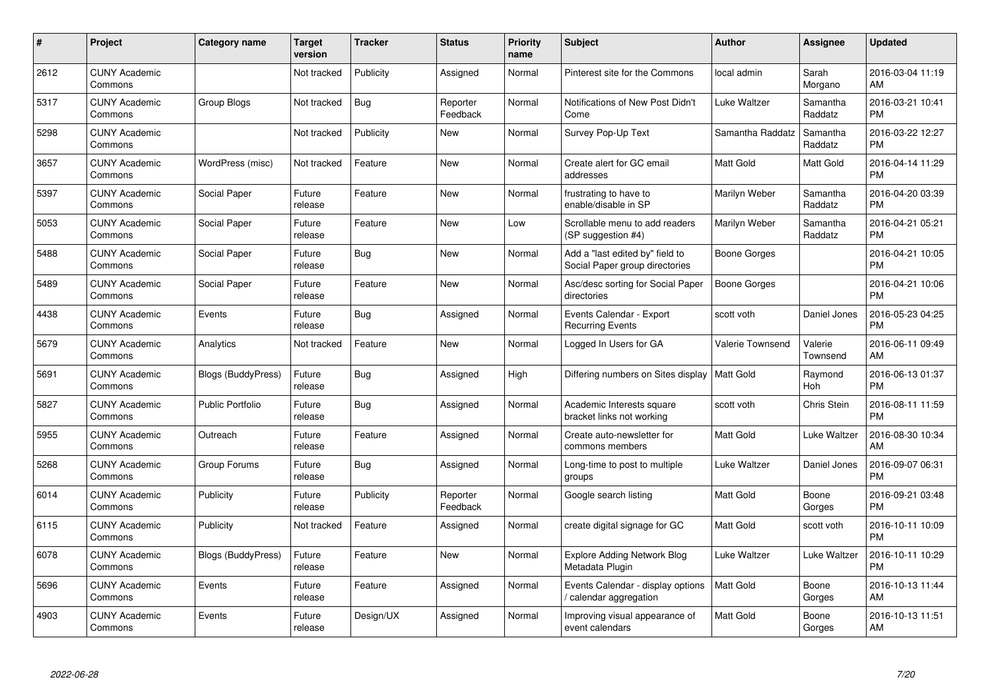| #    | Project                         | <b>Category name</b>      | <b>Target</b><br>version | <b>Tracker</b> | <b>Status</b>        | <b>Priority</b><br>name | <b>Subject</b>                                                    | <b>Author</b>       | <b>Assignee</b>     | <b>Updated</b>                |
|------|---------------------------------|---------------------------|--------------------------|----------------|----------------------|-------------------------|-------------------------------------------------------------------|---------------------|---------------------|-------------------------------|
| 2612 | <b>CUNY Academic</b><br>Commons |                           | Not tracked              | Publicity      | Assigned             | Normal                  | Pinterest site for the Commons                                    | local admin         | Sarah<br>Morgano    | 2016-03-04 11:19<br>AM        |
| 5317 | <b>CUNY Academic</b><br>Commons | Group Blogs               | Not tracked              | Bug            | Reporter<br>Feedback | Normal                  | Notifications of New Post Didn't<br>Come                          | Luke Waltzer        | Samantha<br>Raddatz | 2016-03-21 10:41<br><b>PM</b> |
| 5298 | <b>CUNY Academic</b><br>Commons |                           | Not tracked              | Publicity      | New                  | Normal                  | Survey Pop-Up Text                                                | Samantha Raddatz    | Samantha<br>Raddatz | 2016-03-22 12:27<br><b>PM</b> |
| 3657 | <b>CUNY Academic</b><br>Commons | WordPress (misc)          | Not tracked              | Feature        | <b>New</b>           | Normal                  | Create alert for GC email<br>addresses                            | Matt Gold           | <b>Matt Gold</b>    | 2016-04-14 11:29<br>PM        |
| 5397 | <b>CUNY Academic</b><br>Commons | Social Paper              | Future<br>release        | Feature        | <b>New</b>           | Normal                  | frustrating to have to<br>enable/disable in SP                    | Marilyn Weber       | Samantha<br>Raddatz | 2016-04-20 03:39<br><b>PM</b> |
| 5053 | <b>CUNY Academic</b><br>Commons | Social Paper              | Future<br>release        | Feature        | New                  | Low                     | Scrollable menu to add readers<br>(SP suggestion #4)              | Marilyn Weber       | Samantha<br>Raddatz | 2016-04-21 05:21<br><b>PM</b> |
| 5488 | <b>CUNY Academic</b><br>Commons | Social Paper              | Future<br>release        | Bug            | <b>New</b>           | Normal                  | Add a "last edited by" field to<br>Social Paper group directories | Boone Gorges        |                     | 2016-04-21 10:05<br><b>PM</b> |
| 5489 | <b>CUNY Academic</b><br>Commons | Social Paper              | Future<br>release        | Feature        | <b>New</b>           | Normal                  | Asc/desc sorting for Social Paper<br>directories                  | <b>Boone Gorges</b> |                     | 2016-04-21 10:06<br><b>PM</b> |
| 4438 | <b>CUNY Academic</b><br>Commons | Events                    | Future<br>release        | Bug            | Assigned             | Normal                  | Events Calendar - Export<br><b>Recurring Events</b>               | scott voth          | Daniel Jones        | 2016-05-23 04:25<br><b>PM</b> |
| 5679 | <b>CUNY Academic</b><br>Commons | Analytics                 | Not tracked              | Feature        | <b>New</b>           | Normal                  | Logged In Users for GA                                            | Valerie Townsend    | Valerie<br>Townsend | 2016-06-11 09:49<br>AM        |
| 5691 | <b>CUNY Academic</b><br>Commons | Blogs (BuddyPress)        | Future<br>release        | Bug            | Assigned             | High                    | Differing numbers on Sites display                                | Matt Gold           | Raymond<br>Hoh      | 2016-06-13 01:37<br>PM        |
| 5827 | <b>CUNY Academic</b><br>Commons | <b>Public Portfolio</b>   | Future<br>release        | Bug            | Assigned             | Normal                  | Academic Interests square<br>bracket links not working            | scott voth          | Chris Stein         | 2016-08-11 11:59<br>РM        |
| 5955 | <b>CUNY Academic</b><br>Commons | Outreach                  | Future<br>release        | Feature        | Assigned             | Normal                  | Create auto-newsletter for<br>commons members                     | Matt Gold           | Luke Waltzer        | 2016-08-30 10:34<br>AM        |
| 5268 | <b>CUNY Academic</b><br>Commons | Group Forums              | Future<br>release        | Bug            | Assigned             | Normal                  | Long-time to post to multiple<br>groups                           | Luke Waltzer        | Daniel Jones        | 2016-09-07 06:31<br>PM        |
| 6014 | <b>CUNY Academic</b><br>Commons | Publicity                 | Future<br>release        | Publicity      | Reporter<br>Feedback | Normal                  | Google search listing                                             | Matt Gold           | Boone<br>Gorges     | 2016-09-21 03:48<br>PМ        |
| 6115 | <b>CUNY Academic</b><br>Commons | Publicity                 | Not tracked              | Feature        | Assigned             | Normal                  | create digital signage for GC                                     | Matt Gold           | scott voth          | 2016-10-11 10:09<br><b>PM</b> |
| 6078 | <b>CUNY Academic</b><br>Commons | <b>Blogs (BuddyPress)</b> | Future<br>release        | Feature        | New                  | Normal                  | <b>Explore Adding Network Blog</b><br>Metadata Plugin             | Luke Waltzer        | Luke Waltzer        | 2016-10-11 10:29<br>PM        |
| 5696 | <b>CUNY Academic</b><br>Commons | Events                    | Future<br>release        | Feature        | Assigned             | Normal                  | Events Calendar - display options<br>/ calendar aggregation       | Matt Gold           | Boone<br>Gorges     | 2016-10-13 11:44<br>AM        |
| 4903 | <b>CUNY Academic</b><br>Commons | Events                    | Future<br>release        | Design/UX      | Assigned             | Normal                  | Improving visual appearance of<br>event calendars                 | Matt Gold           | Boone<br>Gorges     | 2016-10-13 11:51<br>AM        |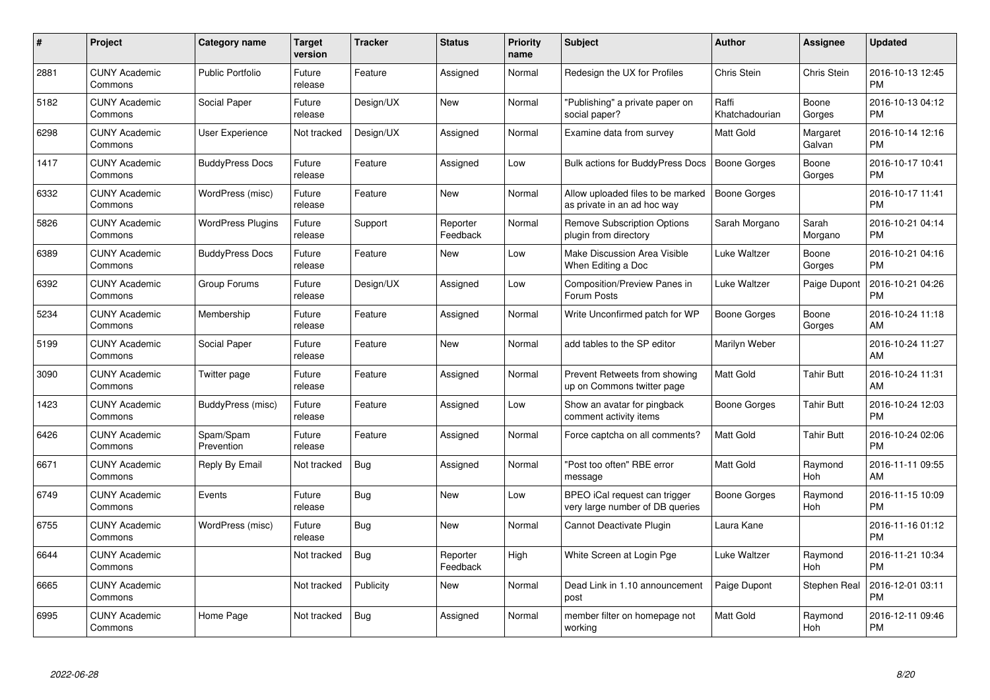| $\pmb{\#}$ | Project                         | Category name            | Target<br>version | <b>Tracker</b> | <b>Status</b>        | <b>Priority</b><br>name | <b>Subject</b>                                                   | Author                  | <b>Assignee</b>    | <b>Updated</b>                |
|------------|---------------------------------|--------------------------|-------------------|----------------|----------------------|-------------------------|------------------------------------------------------------------|-------------------------|--------------------|-------------------------------|
| 2881       | <b>CUNY Academic</b><br>Commons | <b>Public Portfolio</b>  | Future<br>release | Feature        | Assigned             | Normal                  | Redesign the UX for Profiles                                     | Chris Stein             | Chris Stein        | 2016-10-13 12:45<br><b>PM</b> |
| 5182       | <b>CUNY Academic</b><br>Commons | Social Paper             | Future<br>release | Design/UX      | <b>New</b>           | Normal                  | "Publishing" a private paper on<br>social paper?                 | Raffi<br>Khatchadourian | Boone<br>Gorges    | 2016-10-13 04:12<br><b>PM</b> |
| 6298       | <b>CUNY Academic</b><br>Commons | User Experience          | Not tracked       | Design/UX      | Assigned             | Normal                  | Examine data from survey                                         | Matt Gold               | Margaret<br>Galvan | 2016-10-14 12:16<br><b>PM</b> |
| 1417       | <b>CUNY Academic</b><br>Commons | <b>BuddyPress Docs</b>   | Future<br>release | Feature        | Assigned             | Low                     | <b>Bulk actions for BuddyPress Docs</b>                          | <b>Boone Gorges</b>     | Boone<br>Gorges    | 2016-10-17 10:41<br><b>PM</b> |
| 6332       | <b>CUNY Academic</b><br>Commons | WordPress (misc)         | Future<br>release | Feature        | <b>New</b>           | Normal                  | Allow uploaded files to be marked<br>as private in an ad hoc way | Boone Gorges            |                    | 2016-10-17 11:41<br><b>PM</b> |
| 5826       | <b>CUNY Academic</b><br>Commons | <b>WordPress Plugins</b> | Future<br>release | Support        | Reporter<br>Feedback | Normal                  | <b>Remove Subscription Options</b><br>plugin from directory      | Sarah Morgano           | Sarah<br>Morgano   | 2016-10-21 04:14<br>PМ        |
| 6389       | <b>CUNY Academic</b><br>Commons | <b>BuddyPress Docs</b>   | Future<br>release | Feature        | <b>New</b>           | Low                     | Make Discussion Area Visible<br>When Editing a Doc               | Luke Waltzer            | Boone<br>Gorges    | 2016-10-21 04:16<br>PM        |
| 6392       | <b>CUNY Academic</b><br>Commons | Group Forums             | Future<br>release | Design/UX      | Assigned             | Low                     | Composition/Preview Panes in<br>Forum Posts                      | Luke Waltzer            | Paige Dupont       | 2016-10-21 04:26<br>PM        |
| 5234       | <b>CUNY Academic</b><br>Commons | Membership               | Future<br>release | Feature        | Assigned             | Normal                  | Write Unconfirmed patch for WP                                   | Boone Gorges            | Boone<br>Gorges    | 2016-10-24 11:18<br>AM        |
| 5199       | <b>CUNY Academic</b><br>Commons | Social Paper             | Future<br>release | Feature        | <b>New</b>           | Normal                  | add tables to the SP editor                                      | Marilyn Weber           |                    | 2016-10-24 11:27<br>AM        |
| 3090       | <b>CUNY Academic</b><br>Commons | Twitter page             | Future<br>release | Feature        | Assigned             | Normal                  | Prevent Retweets from showing<br>up on Commons twitter page      | Matt Gold               | <b>Tahir Butt</b>  | 2016-10-24 11:31<br>AM        |
| 1423       | <b>CUNY Academic</b><br>Commons | BuddyPress (misc)        | Future<br>release | Feature        | Assigned             | Low                     | Show an avatar for pingback<br>comment activity items            | Boone Gorges            | <b>Tahir Butt</b>  | 2016-10-24 12:03<br><b>PM</b> |
| 6426       | <b>CUNY Academic</b><br>Commons | Spam/Spam<br>Prevention  | Future<br>release | Feature        | Assigned             | Normal                  | Force captcha on all comments?                                   | Matt Gold               | <b>Tahir Butt</b>  | 2016-10-24 02:06<br><b>PM</b> |
| 6671       | <b>CUNY Academic</b><br>Commons | Reply By Email           | Not tracked       | Bug            | Assigned             | Normal                  | "Post too often" RBE error<br>message                            | Matt Gold               | Raymond<br>Hoh     | 2016-11-11 09:55<br>AM        |
| 6749       | <b>CUNY Academic</b><br>Commons | Events                   | Future<br>release | Bug            | <b>New</b>           | Low                     | BPEO iCal request can trigger<br>very large number of DB queries | Boone Gorges            | Raymond<br>Hoh     | 2016-11-15 10:09<br>PM        |
| 6755       | <b>CUNY Academic</b><br>Commons | WordPress (misc)         | Future<br>release | <b>Bug</b>     | <b>New</b>           | Normal                  | Cannot Deactivate Plugin                                         | Laura Kane              |                    | 2016-11-16 01:12<br><b>PM</b> |
| 6644       | <b>CUNY Academic</b><br>Commons |                          | Not tracked       | Bug            | Reporter<br>Feedback | High                    | White Screen at Login Pge                                        | Luke Waltzer            | Raymond<br>Hoh     | 2016-11-21 10:34<br><b>PM</b> |
| 6665       | <b>CUNY Academic</b><br>Commons |                          | Not tracked       | Publicity      | New                  | Normal                  | Dead Link in 1.10 announcement<br>post                           | Paige Dupont            | Stephen Real       | 2016-12-01 03:11<br>PM        |
| 6995       | <b>CUNY Academic</b><br>Commons | Home Page                | Not tracked       | <b>Bug</b>     | Assigned             | Normal                  | member filter on homepage not<br>working                         | Matt Gold               | Raymond<br>Hoh     | 2016-12-11 09:46<br>PM        |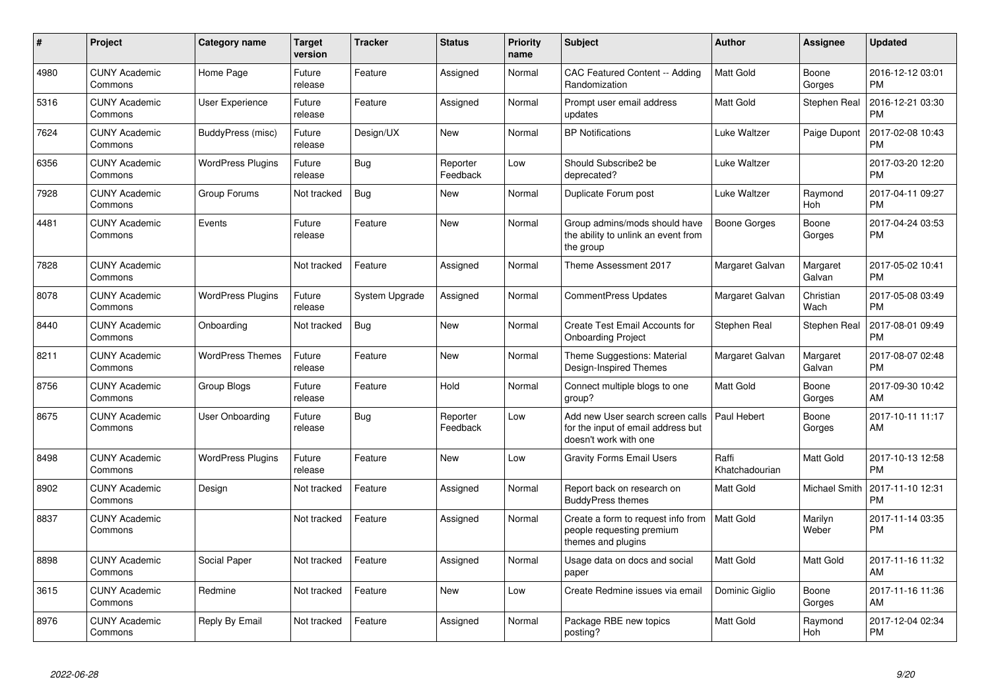| $\#$ | Project                         | Category name            | <b>Target</b><br>version | <b>Tracker</b> | <b>Status</b>        | Priority<br>name | <b>Subject</b>                                                                                  | <b>Author</b>           | <b>Assignee</b>      | <b>Updated</b>                |
|------|---------------------------------|--------------------------|--------------------------|----------------|----------------------|------------------|-------------------------------------------------------------------------------------------------|-------------------------|----------------------|-------------------------------|
| 4980 | <b>CUNY Academic</b><br>Commons | Home Page                | Future<br>release        | Feature        | Assigned             | Normal           | <b>CAC Featured Content -- Adding</b><br>Randomization                                          | <b>Matt Gold</b>        | Boone<br>Gorges      | 2016-12-12 03:01<br><b>PM</b> |
| 5316 | <b>CUNY Academic</b><br>Commons | <b>User Experience</b>   | Future<br>release        | Feature        | Assigned             | Normal           | Prompt user email address<br>updates                                                            | Matt Gold               | Stephen Real         | 2016-12-21 03:30<br><b>PM</b> |
| 7624 | <b>CUNY Academic</b><br>Commons | BuddyPress (misc)        | Future<br>release        | Design/UX      | <b>New</b>           | Normal           | <b>BP Notifications</b>                                                                         | Luke Waltzer            | Paige Dupont         | 2017-02-08 10:43<br><b>PM</b> |
| 6356 | <b>CUNY Academic</b><br>Commons | <b>WordPress Plugins</b> | Future<br>release        | <b>Bug</b>     | Reporter<br>Feedback | Low              | Should Subscribe2 be<br>deprecated?                                                             | Luke Waltzer            |                      | 2017-03-20 12:20<br><b>PM</b> |
| 7928 | <b>CUNY Academic</b><br>Commons | Group Forums             | Not tracked              | <b>Bug</b>     | New                  | Normal           | Duplicate Forum post                                                                            | Luke Waltzer            | Raymond<br>Hoh       | 2017-04-11 09:27<br><b>PM</b> |
| 4481 | <b>CUNY Academic</b><br>Commons | Events                   | Future<br>release        | Feature        | New                  | Normal           | Group admins/mods should have<br>the ability to unlink an event from<br>the group               | Boone Gorges            | Boone<br>Gorges      | 2017-04-24 03:53<br><b>PM</b> |
| 7828 | <b>CUNY Academic</b><br>Commons |                          | Not tracked              | Feature        | Assigned             | Normal           | Theme Assessment 2017                                                                           | Margaret Galvan         | Margaret<br>Galvan   | 2017-05-02 10:41<br><b>PM</b> |
| 8078 | <b>CUNY Academic</b><br>Commons | <b>WordPress Plugins</b> | Future<br>release        | System Upgrade | Assigned             | Normal           | <b>CommentPress Updates</b>                                                                     | Margaret Galvan         | Christian<br>Wach    | 2017-05-08 03:49<br><b>PM</b> |
| 8440 | <b>CUNY Academic</b><br>Commons | Onboarding               | Not tracked              | <b>Bug</b>     | <b>New</b>           | Normal           | <b>Create Test Email Accounts for</b><br><b>Onboarding Project</b>                              | Stephen Real            | Stephen Real         | 2017-08-01 09:49<br><b>PM</b> |
| 8211 | <b>CUNY Academic</b><br>Commons | <b>WordPress Themes</b>  | Future<br>release        | Feature        | <b>New</b>           | Normal           | Theme Suggestions: Material<br>Design-Inspired Themes                                           | Margaret Galvan         | Margaret<br>Galvan   | 2017-08-07 02:48<br><b>PM</b> |
| 8756 | <b>CUNY Academic</b><br>Commons | Group Blogs              | Future<br>release        | Feature        | Hold                 | Normal           | Connect multiple blogs to one<br>group?                                                         | Matt Gold               | Boone<br>Gorges      | 2017-09-30 10:42<br>AM        |
| 8675 | <b>CUNY Academic</b><br>Commons | <b>User Onboarding</b>   | Future<br>release        | Bug            | Reporter<br>Feedback | Low              | Add new User search screen calls<br>for the input of email address but<br>doesn't work with one | Paul Hebert             | Boone<br>Gorges      | 2017-10-11 11:17<br>AM        |
| 8498 | <b>CUNY Academic</b><br>Commons | <b>WordPress Plugins</b> | Future<br>release        | Feature        | <b>New</b>           | Low              | <b>Gravity Forms Email Users</b>                                                                | Raffi<br>Khatchadourian | Matt Gold            | 2017-10-13 12:58<br><b>PM</b> |
| 8902 | <b>CUNY Academic</b><br>Commons | Design                   | Not tracked              | Feature        | Assigned             | Normal           | Report back on research on<br><b>BuddyPress themes</b>                                          | Matt Gold               | <b>Michael Smith</b> | 2017-11-10 12:31<br><b>PM</b> |
| 8837 | <b>CUNY Academic</b><br>Commons |                          | Not tracked              | Feature        | Assigned             | Normal           | Create a form to request info from<br>people requesting premium<br>themes and plugins           | <b>Matt Gold</b>        | Marilyn<br>Weber     | 2017-11-14 03:35<br><b>PM</b> |
| 8898 | <b>CUNY Academic</b><br>Commons | Social Paper             | Not tracked              | Feature        | Assigned             | Normal           | Usage data on docs and social<br>paper                                                          | Matt Gold               | Matt Gold            | 2017-11-16 11:32<br>AM        |
| 3615 | <b>CUNY Academic</b><br>Commons | Redmine                  | Not tracked              | Feature        | <b>New</b>           | Low              | Create Redmine issues via email                                                                 | Dominic Giglio          | Boone<br>Gorges      | 2017-11-16 11:36<br>AM        |
| 8976 | <b>CUNY Academic</b><br>Commons | Reply By Email           | Not tracked              | Feature        | Assigned             | Normal           | Package RBE new topics<br>posting?                                                              | Matt Gold               | Raymond<br>Hoh       | 2017-12-04 02:34<br><b>PM</b> |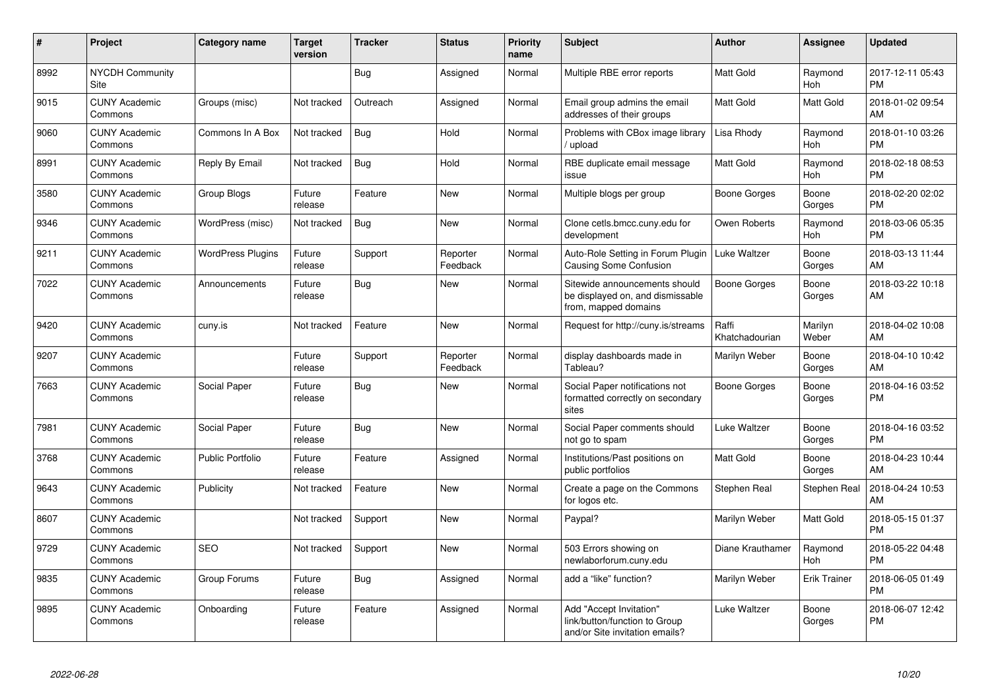| $\pmb{\sharp}$ | Project                         | <b>Category name</b>     | <b>Target</b><br>version | Tracker    | <b>Status</b>        | <b>Priority</b><br>name | <b>Subject</b>                                                                             | <b>Author</b>           | <b>Assignee</b>       | <b>Updated</b>                |
|----------------|---------------------------------|--------------------------|--------------------------|------------|----------------------|-------------------------|--------------------------------------------------------------------------------------------|-------------------------|-----------------------|-------------------------------|
| 8992           | <b>NYCDH Community</b><br>Site  |                          |                          | <b>Bug</b> | Assigned             | Normal                  | Multiple RBE error reports                                                                 | Matt Gold               | Raymond<br><b>Hoh</b> | 2017-12-11 05:43<br><b>PM</b> |
| 9015           | <b>CUNY Academic</b><br>Commons | Groups (misc)            | Not tracked              | Outreach   | Assigned             | Normal                  | Email group admins the email<br>addresses of their groups                                  | Matt Gold               | <b>Matt Gold</b>      | 2018-01-02 09:54<br>AM        |
| 9060           | <b>CUNY Academic</b><br>Commons | Commons In A Box         | Not tracked              | <b>Bug</b> | Hold                 | Normal                  | Problems with CBox image library<br>upload                                                 | Lisa Rhody              | Raymond<br>Hoh        | 2018-01-10 03:26<br>PM        |
| 8991           | <b>CUNY Academic</b><br>Commons | Reply By Email           | Not tracked              | <b>Bug</b> | Hold                 | Normal                  | RBE duplicate email message<br>issue                                                       | Matt Gold               | Raymond<br>Hoh        | 2018-02-18 08:53<br><b>PM</b> |
| 3580           | <b>CUNY Academic</b><br>Commons | Group Blogs              | Future<br>release        | Feature    | <b>New</b>           | Normal                  | Multiple blogs per group                                                                   | Boone Gorges            | Boone<br>Gorges       | 2018-02-20 02:02<br><b>PM</b> |
| 9346           | <b>CUNY Academic</b><br>Commons | WordPress (misc)         | Not tracked              | <b>Bug</b> | <b>New</b>           | Normal                  | Clone cetls.bmcc.cuny.edu for<br>development                                               | Owen Roberts            | Raymond<br><b>Hoh</b> | 2018-03-06 05:35<br><b>PM</b> |
| 9211           | <b>CUNY Academic</b><br>Commons | <b>WordPress Plugins</b> | Future<br>release        | Support    | Reporter<br>Feedback | Normal                  | Auto-Role Setting in Forum Plugin<br><b>Causing Some Confusion</b>                         | Luke Waltzer            | Boone<br>Gorges       | 2018-03-13 11:44<br>AM        |
| 7022           | <b>CUNY Academic</b><br>Commons | Announcements            | Future<br>release        | Bug        | <b>New</b>           | Normal                  | Sitewide announcements should<br>be displayed on, and dismissable<br>from, mapped domains  | <b>Boone Gorges</b>     | Boone<br>Gorges       | 2018-03-22 10:18<br>AM        |
| 9420           | <b>CUNY Academic</b><br>Commons | cuny.is                  | Not tracked              | Feature    | <b>New</b>           | Normal                  | Request for http://cuny.is/streams                                                         | Raffi<br>Khatchadourian | Marilyn<br>Weber      | 2018-04-02 10:08<br>AM        |
| 9207           | <b>CUNY Academic</b><br>Commons |                          | Future<br>release        | Support    | Reporter<br>Feedback | Normal                  | display dashboards made in<br>Tableau?                                                     | Marilyn Weber           | Boone<br>Gorges       | 2018-04-10 10:42<br>AM        |
| 7663           | <b>CUNY Academic</b><br>Commons | Social Paper             | Future<br>release        | Bug        | <b>New</b>           | Normal                  | Social Paper notifications not<br>formatted correctly on secondary<br>sites                | Boone Gorges            | Boone<br>Gorges       | 2018-04-16 03:52<br><b>PM</b> |
| 7981           | <b>CUNY Academic</b><br>Commons | Social Paper             | Future<br>release        | Bug        | <b>New</b>           | Normal                  | Social Paper comments should<br>not go to spam                                             | Luke Waltzer            | Boone<br>Gorges       | 2018-04-16 03:52<br><b>PM</b> |
| 3768           | <b>CUNY Academic</b><br>Commons | <b>Public Portfolio</b>  | Future<br>release        | Feature    | Assigned             | Normal                  | Institutions/Past positions on<br>public portfolios                                        | Matt Gold               | Boone<br>Gorges       | 2018-04-23 10:44<br>AM        |
| 9643           | <b>CUNY Academic</b><br>Commons | Publicity                | Not tracked              | Feature    | <b>New</b>           | Normal                  | Create a page on the Commons<br>for logos etc.                                             | Stephen Real            | Stephen Real          | 2018-04-24 10:53<br>AM        |
| 8607           | <b>CUNY Academic</b><br>Commons |                          | Not tracked              | Support    | <b>New</b>           | Normal                  | Paypal?                                                                                    | Marilyn Weber           | Matt Gold             | 2018-05-15 01:37<br><b>PM</b> |
| 9729           | <b>CUNY Academic</b><br>Commons | <b>SEO</b>               | Not tracked              | Support    | <b>New</b>           | Normal                  | 503 Errors showing on<br>newlaborforum.cuny.edu                                            | Diane Krauthamer        | Raymond<br><b>Hoh</b> | 2018-05-22 04:48<br><b>PM</b> |
| 9835           | <b>CUNY Academic</b><br>Commons | Group Forums             | Future<br>release        | Bug        | Assigned             | Normal                  | add a "like" function?                                                                     | Marilyn Weber           | <b>Erik Trainer</b>   | 2018-06-05 01:49<br><b>PM</b> |
| 9895           | <b>CUNY Academic</b><br>Commons | Onboarding               | Future<br>release        | Feature    | Assigned             | Normal                  | Add "Accept Invitation"<br>link/button/function to Group<br>and/or Site invitation emails? | Luke Waltzer            | Boone<br>Gorges       | 2018-06-07 12:42<br>РM        |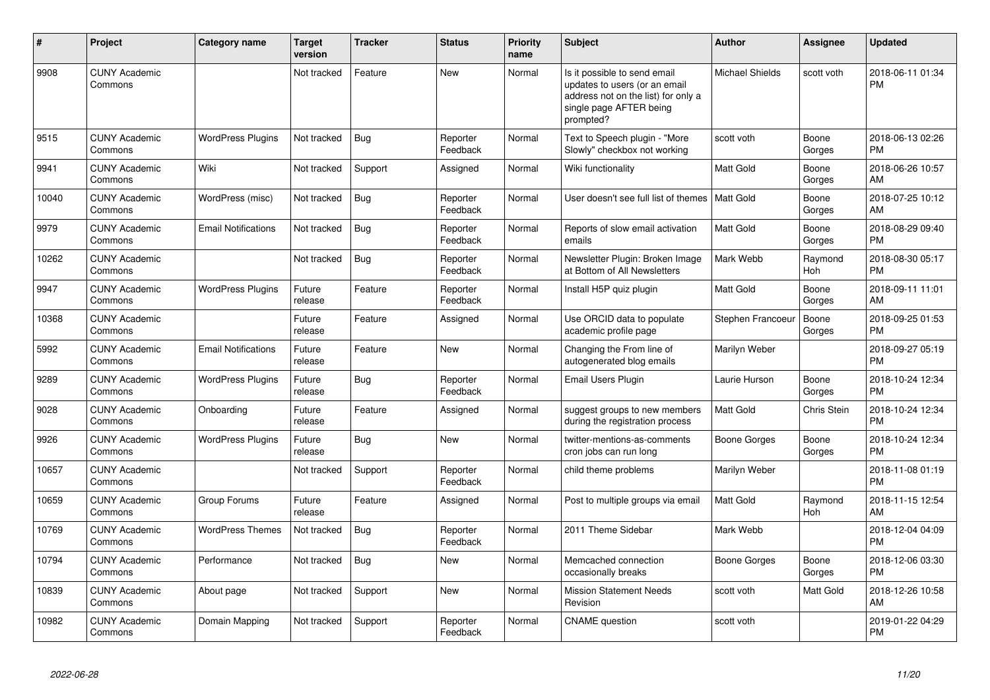| #     | Project                         | Category name              | <b>Target</b><br>version | <b>Tracker</b> | <b>Status</b>        | <b>Priority</b><br>name | <b>Subject</b>                                                                                                                               | <b>Author</b>          | <b>Assignee</b>       | <b>Updated</b>                |
|-------|---------------------------------|----------------------------|--------------------------|----------------|----------------------|-------------------------|----------------------------------------------------------------------------------------------------------------------------------------------|------------------------|-----------------------|-------------------------------|
| 9908  | <b>CUNY Academic</b><br>Commons |                            | Not tracked              | Feature        | <b>New</b>           | Normal                  | Is it possible to send email<br>updates to users (or an email<br>address not on the list) for only a<br>single page AFTER being<br>prompted? | <b>Michael Shields</b> | scott voth            | 2018-06-11 01:34<br><b>PM</b> |
| 9515  | <b>CUNY Academic</b><br>Commons | <b>WordPress Plugins</b>   | Not tracked              | <b>Bug</b>     | Reporter<br>Feedback | Normal                  | Text to Speech plugin - "More<br>Slowly" checkbox not working                                                                                | scott voth             | Boone<br>Gorges       | 2018-06-13 02:26<br><b>PM</b> |
| 9941  | <b>CUNY Academic</b><br>Commons | Wiki                       | Not tracked              | Support        | Assigned             | Normal                  | Wiki functionality                                                                                                                           | Matt Gold              | Boone<br>Gorges       | 2018-06-26 10:57<br>AM        |
| 10040 | <b>CUNY Academic</b><br>Commons | WordPress (misc)           | Not tracked              | <b>Bug</b>     | Reporter<br>Feedback | Normal                  | User doesn't see full list of themes                                                                                                         | <b>Matt Gold</b>       | Boone<br>Gorges       | 2018-07-25 10:12<br>AM        |
| 9979  | <b>CUNY Academic</b><br>Commons | <b>Email Notifications</b> | Not tracked              | <b>Bug</b>     | Reporter<br>Feedback | Normal                  | Reports of slow email activation<br>emails                                                                                                   | Matt Gold              | Boone<br>Gorges       | 2018-08-29 09:40<br><b>PM</b> |
| 10262 | <b>CUNY Academic</b><br>Commons |                            | Not tracked              | Bug            | Reporter<br>Feedback | Normal                  | Newsletter Plugin: Broken Image<br>at Bottom of All Newsletters                                                                              | Mark Webb              | Raymond<br>Hoh        | 2018-08-30 05:17<br><b>PM</b> |
| 9947  | <b>CUNY Academic</b><br>Commons | <b>WordPress Plugins</b>   | Future<br>release        | Feature        | Reporter<br>Feedback | Normal                  | Install H5P quiz plugin                                                                                                                      | Matt Gold              | Boone<br>Gorges       | 2018-09-11 11:01<br>AM        |
| 10368 | <b>CUNY Academic</b><br>Commons |                            | Future<br>release        | Feature        | Assigned             | Normal                  | Use ORCID data to populate<br>academic profile page                                                                                          | Stephen Francoeur      | Boone<br>Gorges       | 2018-09-25 01:53<br><b>PM</b> |
| 5992  | <b>CUNY Academic</b><br>Commons | <b>Email Notifications</b> | Future<br>release        | Feature        | <b>New</b>           | Normal                  | Changing the From line of<br>autogenerated blog emails                                                                                       | Marilyn Weber          |                       | 2018-09-27 05:19<br><b>PM</b> |
| 9289  | <b>CUNY Academic</b><br>Commons | <b>WordPress Plugins</b>   | Future<br>release        | Bug            | Reporter<br>Feedback | Normal                  | <b>Email Users Plugin</b>                                                                                                                    | Laurie Hurson          | Boone<br>Gorges       | 2018-10-24 12:34<br><b>PM</b> |
| 9028  | <b>CUNY Academic</b><br>Commons | Onboarding                 | Future<br>release        | Feature        | Assigned             | Normal                  | suggest groups to new members<br>during the registration process                                                                             | Matt Gold              | Chris Stein           | 2018-10-24 12:34<br><b>PM</b> |
| 9926  | <b>CUNY Academic</b><br>Commons | <b>WordPress Plugins</b>   | Future<br>release        | <b>Bug</b>     | New                  | Normal                  | twitter-mentions-as-comments<br>cron jobs can run long                                                                                       | Boone Gorges           | Boone<br>Gorges       | 2018-10-24 12:34<br><b>PM</b> |
| 10657 | <b>CUNY Academic</b><br>Commons |                            | Not tracked              | Support        | Reporter<br>Feedback | Normal                  | child theme problems                                                                                                                         | Marilyn Weber          |                       | 2018-11-08 01:19<br>PM        |
| 10659 | <b>CUNY Academic</b><br>Commons | Group Forums               | Future<br>release        | Feature        | Assigned             | Normal                  | Post to multiple groups via email                                                                                                            | Matt Gold              | Raymond<br><b>Hoh</b> | 2018-11-15 12:54<br>AM        |
| 10769 | <b>CUNY Academic</b><br>Commons | <b>WordPress Themes</b>    | Not tracked              | Bug            | Reporter<br>Feedback | Normal                  | 2011 Theme Sidebar                                                                                                                           | Mark Webb              |                       | 2018-12-04 04:09<br><b>PM</b> |
| 10794 | <b>CUNY Academic</b><br>Commons | Performance                | Not tracked              | <b>Bug</b>     | <b>New</b>           | Normal                  | Memcached connection<br>occasionally breaks                                                                                                  | <b>Boone Gorges</b>    | Boone<br>Gorges       | 2018-12-06 03:30<br><b>PM</b> |
| 10839 | <b>CUNY Academic</b><br>Commons | About page                 | Not tracked              | Support        | <b>New</b>           | Normal                  | <b>Mission Statement Needs</b><br>Revision                                                                                                   | scott voth             | <b>Matt Gold</b>      | 2018-12-26 10:58<br>AM        |
| 10982 | <b>CUNY Academic</b><br>Commons | Domain Mapping             | Not tracked              | Support        | Reporter<br>Feedback | Normal                  | <b>CNAME</b> question                                                                                                                        | scott voth             |                       | 2019-01-22 04:29<br><b>PM</b> |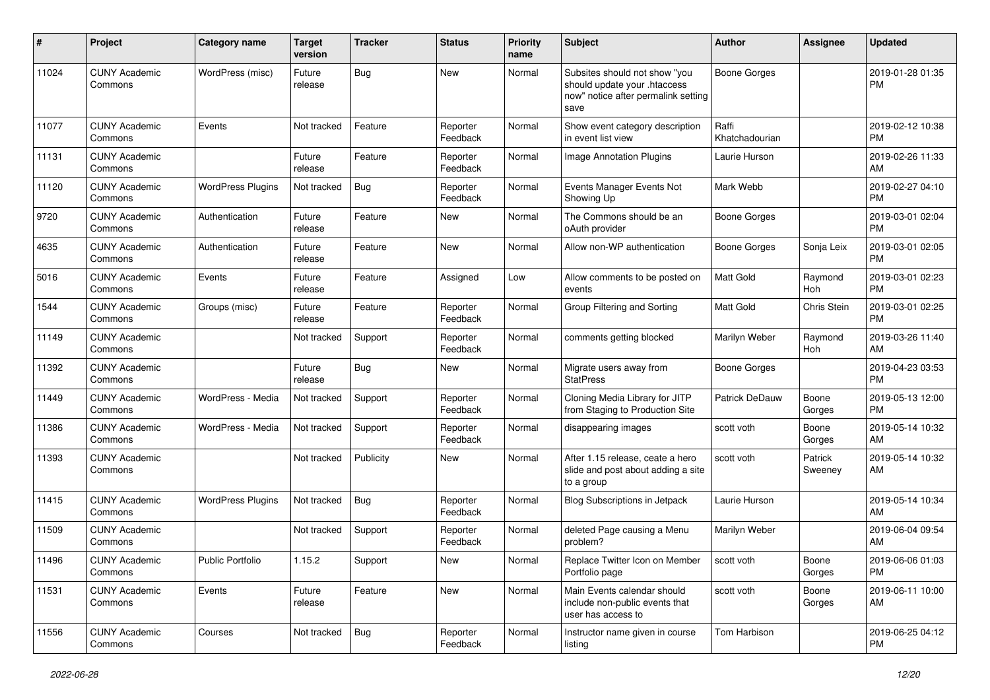| #     | Project                         | <b>Category name</b>     | <b>Target</b><br>version | <b>Tracker</b> | <b>Status</b>        | <b>Priority</b><br>name | <b>Subject</b>                                                                                               | <b>Author</b>           | <b>Assignee</b>    | <b>Updated</b>                |
|-------|---------------------------------|--------------------------|--------------------------|----------------|----------------------|-------------------------|--------------------------------------------------------------------------------------------------------------|-------------------------|--------------------|-------------------------------|
| 11024 | <b>CUNY Academic</b><br>Commons | WordPress (misc)         | Future<br>release        | <b>Bug</b>     | New                  | Normal                  | Subsites should not show "you<br>should update your .htaccess<br>now" notice after permalink setting<br>save | <b>Boone Gorges</b>     |                    | 2019-01-28 01:35<br><b>PM</b> |
| 11077 | <b>CUNY Academic</b><br>Commons | Events                   | Not tracked              | Feature        | Reporter<br>Feedback | Normal                  | Show event category description<br>in event list view                                                        | Raffi<br>Khatchadourian |                    | 2019-02-12 10:38<br><b>PM</b> |
| 11131 | <b>CUNY Academic</b><br>Commons |                          | Future<br>release        | Feature        | Reporter<br>Feedback | Normal                  | Image Annotation Plugins                                                                                     | Laurie Hurson           |                    | 2019-02-26 11:33<br>AM        |
| 11120 | <b>CUNY Academic</b><br>Commons | <b>WordPress Plugins</b> | Not tracked              | <b>Bug</b>     | Reporter<br>Feedback | Normal                  | Events Manager Events Not<br>Showing Up                                                                      | Mark Webb               |                    | 2019-02-27 04:10<br><b>PM</b> |
| 9720  | <b>CUNY Academic</b><br>Commons | Authentication           | Future<br>release        | Feature        | New                  | Normal                  | The Commons should be an<br>oAuth provider                                                                   | <b>Boone Gorges</b>     |                    | 2019-03-01 02:04<br><b>PM</b> |
| 4635  | <b>CUNY Academic</b><br>Commons | Authentication           | Future<br>release        | Feature        | New                  | Normal                  | Allow non-WP authentication                                                                                  | <b>Boone Gorges</b>     | Sonja Leix         | 2019-03-01 02:05<br><b>PM</b> |
| 5016  | <b>CUNY Academic</b><br>Commons | Events                   | Future<br>release        | Feature        | Assigned             | Low                     | Allow comments to be posted on<br>events                                                                     | <b>Matt Gold</b>        | Raymond<br>Hoh     | 2019-03-01 02:23<br><b>PM</b> |
| 1544  | <b>CUNY Academic</b><br>Commons | Groups (misc)            | Future<br>release        | Feature        | Reporter<br>Feedback | Normal                  | Group Filtering and Sorting                                                                                  | Matt Gold               | Chris Stein        | 2019-03-01 02:25<br><b>PM</b> |
| 11149 | <b>CUNY Academic</b><br>Commons |                          | Not tracked              | Support        | Reporter<br>Feedback | Normal                  | comments getting blocked                                                                                     | Marilyn Weber           | Raymond<br>Hoh     | 2019-03-26 11:40<br>AM        |
| 11392 | <b>CUNY Academic</b><br>Commons |                          | Future<br>release        | Bug            | <b>New</b>           | Normal                  | Migrate users away from<br><b>StatPress</b>                                                                  | <b>Boone Gorges</b>     |                    | 2019-04-23 03:53<br><b>PM</b> |
| 11449 | <b>CUNY Academic</b><br>Commons | WordPress - Media        | Not tracked              | Support        | Reporter<br>Feedback | Normal                  | Cloning Media Library for JITP<br>from Staging to Production Site                                            | <b>Patrick DeDauw</b>   | Boone<br>Gorges    | 2019-05-13 12:00<br><b>PM</b> |
| 11386 | <b>CUNY Academic</b><br>Commons | WordPress - Media        | Not tracked              | Support        | Reporter<br>Feedback | Normal                  | disappearing images                                                                                          | scott voth              | Boone<br>Gorges    | 2019-05-14 10:32<br>AM        |
| 11393 | <b>CUNY Academic</b><br>Commons |                          | Not tracked              | Publicity      | New                  | Normal                  | After 1.15 release, ceate a hero<br>slide and post about adding a site<br>to a group                         | scott voth              | Patrick<br>Sweeney | 2019-05-14 10:32<br>AM        |
| 11415 | <b>CUNY Academic</b><br>Commons | <b>WordPress Plugins</b> | Not tracked              | <b>Bug</b>     | Reporter<br>Feedback | Normal                  | <b>Blog Subscriptions in Jetpack</b>                                                                         | Laurie Hurson           |                    | 2019-05-14 10:34<br>AM        |
| 11509 | <b>CUNY Academic</b><br>Commons |                          | Not tracked              | Support        | Reporter<br>Feedback | Normal                  | deleted Page causing a Menu<br>problem?                                                                      | Marilyn Weber           |                    | 2019-06-04 09:54<br>AM        |
| 11496 | <b>CUNY Academic</b><br>Commons | Public Portfolio         | 1.15.2                   | Support        | New                  | Normal                  | Replace Twitter Icon on Member<br>Portfolio page                                                             | scott voth              | Boone<br>Gorges    | 2019-06-06 01:03<br><b>PM</b> |
| 11531 | <b>CUNY Academic</b><br>Commons | Events                   | Future<br>release        | Feature        | New                  | Normal                  | Main Events calendar should<br>include non-public events that<br>user has access to                          | scott voth              | Boone<br>Gorges    | 2019-06-11 10:00<br>AM        |
| 11556 | <b>CUNY Academic</b><br>Commons | Courses                  | Not tracked              | Bug            | Reporter<br>Feedback | Normal                  | Instructor name given in course<br>listing                                                                   | Tom Harbison            |                    | 2019-06-25 04:12<br><b>PM</b> |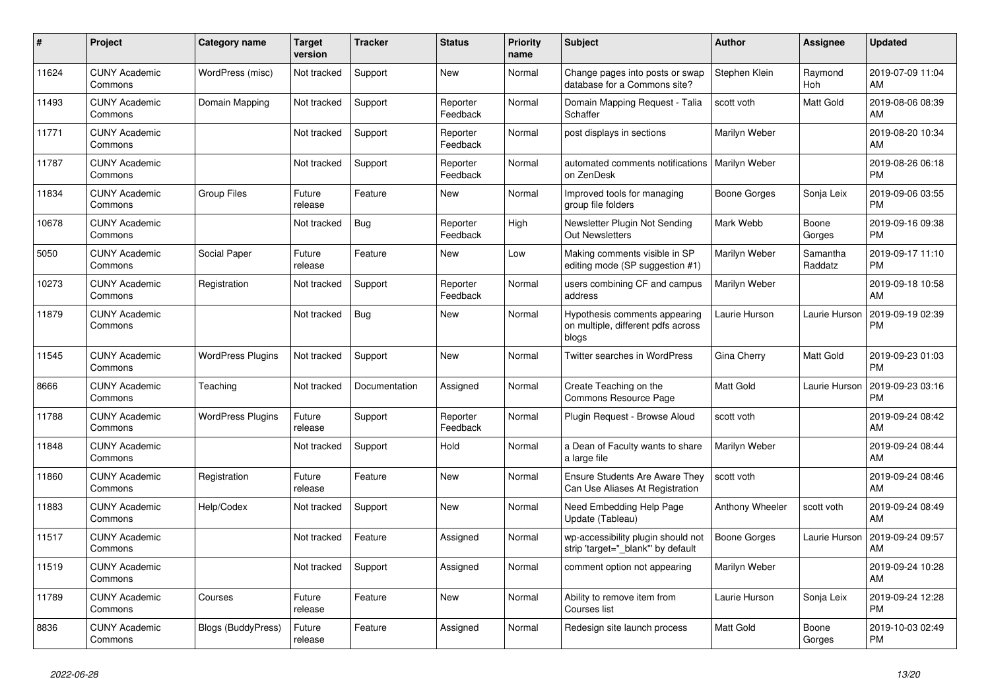| #     | <b>Project</b>                  | Category name             | <b>Target</b><br>version | <b>Tracker</b> | <b>Status</b>        | <b>Priority</b><br>name | <b>Subject</b>                                                               | <b>Author</b>       | Assignee              | <b>Updated</b>                |
|-------|---------------------------------|---------------------------|--------------------------|----------------|----------------------|-------------------------|------------------------------------------------------------------------------|---------------------|-----------------------|-------------------------------|
| 11624 | <b>CUNY Academic</b><br>Commons | WordPress (misc)          | Not tracked              | Support        | <b>New</b>           | Normal                  | Change pages into posts or swap<br>database for a Commons site?              | Stephen Klein       | Raymond<br><b>Hoh</b> | 2019-07-09 11:04<br>AM        |
| 11493 | <b>CUNY Academic</b><br>Commons | Domain Mapping            | Not tracked              | Support        | Reporter<br>Feedback | Normal                  | Domain Mapping Request - Talia<br>Schaffer                                   | scott voth          | Matt Gold             | 2019-08-06 08:39<br>AM        |
| 11771 | <b>CUNY Academic</b><br>Commons |                           | Not tracked              | Support        | Reporter<br>Feedback | Normal                  | post displays in sections                                                    | Marilyn Weber       |                       | 2019-08-20 10:34<br>AM        |
| 11787 | <b>CUNY Academic</b><br>Commons |                           | Not tracked              | Support        | Reporter<br>Feedback | Normal                  | automated comments notifications   Marilyn Weber<br>on ZenDesk               |                     |                       | 2019-08-26 06:18<br><b>PM</b> |
| 11834 | <b>CUNY Academic</b><br>Commons | <b>Group Files</b>        | Future<br>release        | Feature        | New                  | Normal                  | Improved tools for managing<br>group file folders                            | Boone Gorges        | Sonja Leix            | 2019-09-06 03:55<br><b>PM</b> |
| 10678 | <b>CUNY Academic</b><br>Commons |                           | Not tracked              | Bug            | Reporter<br>Feedback | High                    | Newsletter Plugin Not Sending<br><b>Out Newsletters</b>                      | Mark Webb           | Boone<br>Gorges       | 2019-09-16 09:38<br><b>PM</b> |
| 5050  | <b>CUNY Academic</b><br>Commons | Social Paper              | Future<br>release        | Feature        | <b>New</b>           | Low                     | Making comments visible in SP<br>editing mode (SP suggestion #1)             | Marilyn Weber       | Samantha<br>Raddatz   | 2019-09-17 11:10<br><b>PM</b> |
| 10273 | <b>CUNY Academic</b><br>Commons | Registration              | Not tracked              | Support        | Reporter<br>Feedback | Normal                  | users combining CF and campus<br>address                                     | Marilyn Weber       |                       | 2019-09-18 10:58<br>AM        |
| 11879 | <b>CUNY Academic</b><br>Commons |                           | Not tracked              | Bug            | <b>New</b>           | Normal                  | Hypothesis comments appearing<br>on multiple, different pdfs across<br>blogs | Laurie Hurson       | Laurie Hurson         | 2019-09-19 02:39<br><b>PM</b> |
| 11545 | <b>CUNY Academic</b><br>Commons | <b>WordPress Plugins</b>  | Not tracked              | Support        | <b>New</b>           | Normal                  | <b>Twitter searches in WordPress</b>                                         | Gina Cherry         | Matt Gold             | 2019-09-23 01:03<br><b>PM</b> |
| 8666  | <b>CUNY Academic</b><br>Commons | Teaching                  | Not tracked              | Documentation  | Assigned             | Normal                  | Create Teaching on the<br>Commons Resource Page                              | Matt Gold           | Laurie Hurson         | 2019-09-23 03:16<br><b>PM</b> |
| 11788 | <b>CUNY Academic</b><br>Commons | <b>WordPress Plugins</b>  | Future<br>release        | Support        | Reporter<br>Feedback | Normal                  | Plugin Request - Browse Aloud                                                | scott voth          |                       | 2019-09-24 08:42<br>AM        |
| 11848 | <b>CUNY Academic</b><br>Commons |                           | Not tracked              | Support        | Hold                 | Normal                  | a Dean of Faculty wants to share<br>a large file                             | Marilyn Weber       |                       | 2019-09-24 08:44<br>AM        |
| 11860 | <b>CUNY Academic</b><br>Commons | Registration              | Future<br>release        | Feature        | <b>New</b>           | Normal                  | Ensure Students Are Aware They<br>Can Use Aliases At Registration            | scott voth          |                       | 2019-09-24 08:46<br>AM        |
| 11883 | <b>CUNY Academic</b><br>Commons | Help/Codex                | Not tracked              | Support        | New                  | Normal                  | Need Embedding Help Page<br>Update (Tableau)                                 | Anthony Wheeler     | scott voth            | 2019-09-24 08:49<br>AM        |
| 11517 | <b>CUNY Academic</b><br>Commons |                           | Not tracked              | Feature        | Assigned             | Normal                  | wp-accessibility plugin should not<br>strip 'target="_blank" by default      | <b>Boone Gorges</b> | Laurie Hurson         | 2019-09-24 09:57<br>AM        |
| 11519 | <b>CUNY Academic</b><br>Commons |                           | Not tracked              | Support        | Assigned             | Normal                  | comment option not appearing                                                 | Marilyn Weber       |                       | 2019-09-24 10:28<br>AM        |
| 11789 | <b>CUNY Academic</b><br>Commons | Courses                   | Future<br>release        | Feature        | New                  | Normal                  | Ability to remove item from<br>Courses list                                  | Laurie Hurson       | Sonja Leix            | 2019-09-24 12:28<br><b>PM</b> |
| 8836  | <b>CUNY Academic</b><br>Commons | <b>Blogs (BuddyPress)</b> | Future<br>release        | Feature        | Assigned             | Normal                  | Redesign site launch process                                                 | Matt Gold           | Boone<br>Gorges       | 2019-10-03 02:49<br><b>PM</b> |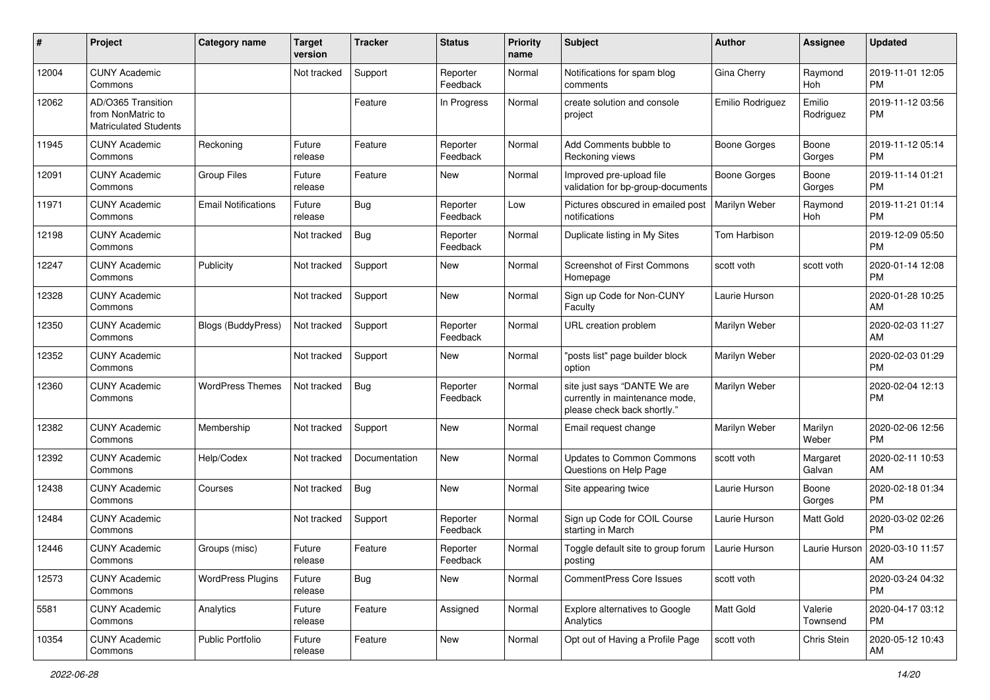| #     | Project                                                                 | <b>Category name</b>       | <b>Target</b><br>version | <b>Tracker</b> | <b>Status</b>        | <b>Priority</b><br>name | Subject                                                                                       | Author              | <b>Assignee</b>     | <b>Updated</b>                |
|-------|-------------------------------------------------------------------------|----------------------------|--------------------------|----------------|----------------------|-------------------------|-----------------------------------------------------------------------------------------------|---------------------|---------------------|-------------------------------|
| 12004 | <b>CUNY Academic</b><br>Commons                                         |                            | Not tracked              | Support        | Reporter<br>Feedback | Normal                  | Notifications for spam blog<br>comments                                                       | Gina Cherry         | Raymond<br>Hoh      | 2019-11-01 12:05<br><b>PM</b> |
| 12062 | AD/O365 Transition<br>from NonMatric to<br><b>Matriculated Students</b> |                            |                          | Feature        | In Progress          | Normal                  | create solution and console<br>project                                                        | Emilio Rodriguez    | Emilio<br>Rodriguez | 2019-11-12 03:56<br>PM        |
| 11945 | <b>CUNY Academic</b><br>Commons                                         | Reckoning                  | Future<br>release        | Feature        | Reporter<br>Feedback | Normal                  | Add Comments bubble to<br>Reckoning views                                                     | <b>Boone Gorges</b> | Boone<br>Gorges     | 2019-11-12 05:14<br><b>PM</b> |
| 12091 | <b>CUNY Academic</b><br>Commons                                         | <b>Group Files</b>         | Future<br>release        | Feature        | New                  | Normal                  | Improved pre-upload file<br>validation for bp-group-documents                                 | <b>Boone Gorges</b> | Boone<br>Gorges     | 2019-11-14 01:21<br><b>PM</b> |
| 11971 | <b>CUNY Academic</b><br>Commons                                         | <b>Email Notifications</b> | Future<br>release        | Bug            | Reporter<br>Feedback | Low                     | Pictures obscured in emailed post<br>notifications                                            | Marilyn Weber       | Raymond<br>Hoh      | 2019-11-21 01:14<br><b>PM</b> |
| 12198 | <b>CUNY Academic</b><br>Commons                                         |                            | Not tracked              | <b>Bug</b>     | Reporter<br>Feedback | Normal                  | Duplicate listing in My Sites                                                                 | Tom Harbison        |                     | 2019-12-09 05:50<br><b>PM</b> |
| 12247 | <b>CUNY Academic</b><br>Commons                                         | Publicity                  | Not tracked              | Support        | New                  | Normal                  | Screenshot of First Commons<br>Homepage                                                       | scott voth          | scott voth          | 2020-01-14 12:08<br><b>PM</b> |
| 12328 | <b>CUNY Academic</b><br>Commons                                         |                            | Not tracked              | Support        | New                  | Normal                  | Sign up Code for Non-CUNY<br>Faculty                                                          | Laurie Hurson       |                     | 2020-01-28 10:25<br>AM        |
| 12350 | <b>CUNY Academic</b><br>Commons                                         | <b>Blogs (BuddyPress)</b>  | Not tracked              | Support        | Reporter<br>Feedback | Normal                  | URL creation problem                                                                          | Marilyn Weber       |                     | 2020-02-03 11:27<br>AM        |
| 12352 | <b>CUNY Academic</b><br>Commons                                         |                            | Not tracked              | Support        | New                  | Normal                  | "posts list" page builder block<br>option                                                     | Marilyn Weber       |                     | 2020-02-03 01:29<br><b>PM</b> |
| 12360 | <b>CUNY Academic</b><br>Commons                                         | <b>WordPress Themes</b>    | Not tracked              | <b>Bug</b>     | Reporter<br>Feedback | Normal                  | site just says "DANTE We are<br>currently in maintenance mode,<br>please check back shortly." | Marilyn Weber       |                     | 2020-02-04 12:13<br><b>PM</b> |
| 12382 | <b>CUNY Academic</b><br>Commons                                         | Membership                 | Not tracked              | Support        | <b>New</b>           | Normal                  | Email request change                                                                          | Marilyn Weber       | Marilyn<br>Weber    | 2020-02-06 12:56<br><b>PM</b> |
| 12392 | <b>CUNY Academic</b><br>Commons                                         | Help/Codex                 | Not tracked              | Documentation  | <b>New</b>           | Normal                  | <b>Updates to Common Commons</b><br>Questions on Help Page                                    | scott voth          | Margaret<br>Galvan  | 2020-02-11 10:53<br>AM        |
| 12438 | <b>CUNY Academic</b><br>Commons                                         | Courses                    | Not tracked              | Bug            | <b>New</b>           | Normal                  | Site appearing twice                                                                          | Laurie Hurson       | Boone<br>Gorges     | 2020-02-18 01:34<br><b>PM</b> |
| 12484 | <b>CUNY Academic</b><br>Commons                                         |                            | Not tracked              | Support        | Reporter<br>Feedback | Normal                  | Sign up Code for COIL Course<br>starting in March                                             | Laurie Hurson       | <b>Matt Gold</b>    | 2020-03-02 02:26<br><b>PM</b> |
| 12446 | <b>CUNY Academic</b><br>Commons                                         | Groups (misc)              | Future<br>release        | Feature        | Reporter<br>Feedback | Normal                  | Toggle default site to group forum<br>posting                                                 | Laurie Hurson       | Laurie Hurson       | 2020-03-10 11:57<br>AM        |
| 12573 | <b>CUNY Academic</b><br>Commons                                         | <b>WordPress Plugins</b>   | Future<br>release        | Bug            | New                  | Normal                  | <b>CommentPress Core Issues</b>                                                               | scott voth          |                     | 2020-03-24 04:32<br>PM        |
| 5581  | <b>CUNY Academic</b><br>Commons                                         | Analytics                  | Future<br>release        | Feature        | Assigned             | Normal                  | Explore alternatives to Google<br>Analytics                                                   | Matt Gold           | Valerie<br>Townsend | 2020-04-17 03:12<br><b>PM</b> |
| 10354 | <b>CUNY Academic</b><br>Commons                                         | Public Portfolio           | Future<br>release        | Feature        | New                  | Normal                  | Opt out of Having a Profile Page                                                              | scott voth          | Chris Stein         | 2020-05-12 10:43<br>AM        |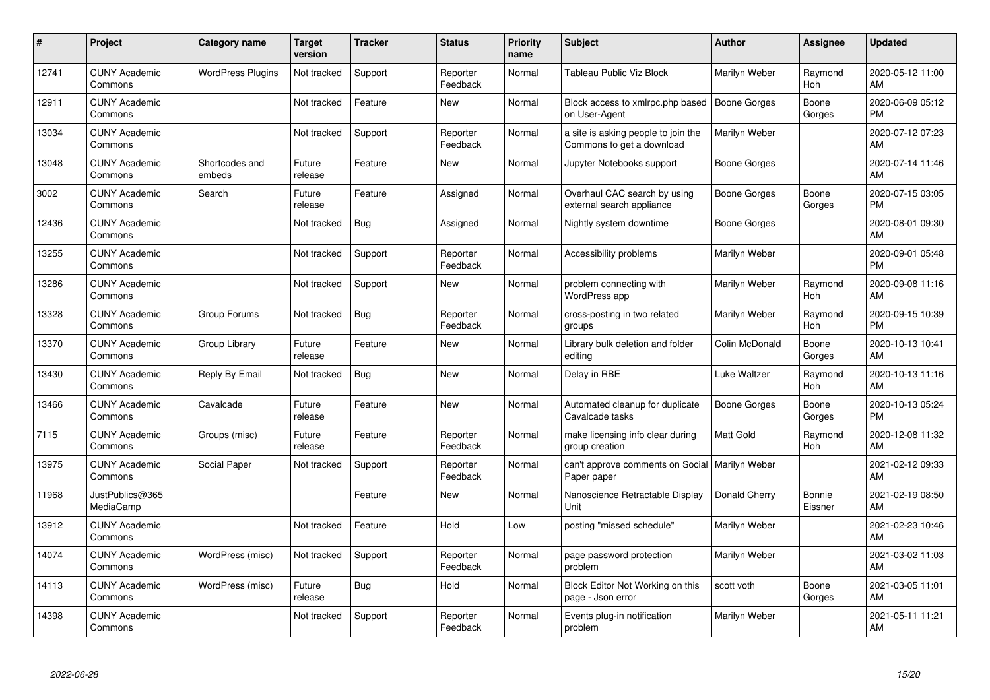| #     | Project                         | <b>Category name</b>     | Target<br>version | <b>Tracker</b> | <b>Status</b>        | <b>Priority</b><br>name | <b>Subject</b>                                                   | <b>Author</b>       | <b>Assignee</b>   | <b>Updated</b>                |
|-------|---------------------------------|--------------------------|-------------------|----------------|----------------------|-------------------------|------------------------------------------------------------------|---------------------|-------------------|-------------------------------|
| 12741 | <b>CUNY Academic</b><br>Commons | <b>WordPress Plugins</b> | Not tracked       | Support        | Reporter<br>Feedback | Normal                  | Tableau Public Viz Block                                         | Marilyn Weber       | Raymond<br>Hoh    | 2020-05-12 11:00<br>AM        |
| 12911 | <b>CUNY Academic</b><br>Commons |                          | Not tracked       | Feature        | <b>New</b>           | Normal                  | Block access to xmlrpc.php based<br>on User-Agent                | <b>Boone Gorges</b> | Boone<br>Gorges   | 2020-06-09 05:12<br><b>PM</b> |
| 13034 | <b>CUNY Academic</b><br>Commons |                          | Not tracked       | Support        | Reporter<br>Feedback | Normal                  | a site is asking people to join the<br>Commons to get a download | Marilyn Weber       |                   | 2020-07-12 07:23<br>AM        |
| 13048 | <b>CUNY Academic</b><br>Commons | Shortcodes and<br>embeds | Future<br>release | Feature        | <b>New</b>           | Normal                  | Jupyter Notebooks support                                        | <b>Boone Gorges</b> |                   | 2020-07-14 11:46<br>AM        |
| 3002  | <b>CUNY Academic</b><br>Commons | Search                   | Future<br>release | Feature        | Assigned             | Normal                  | Overhaul CAC search by using<br>external search appliance        | Boone Gorges        | Boone<br>Gorges   | 2020-07-15 03:05<br><b>PM</b> |
| 12436 | <b>CUNY Academic</b><br>Commons |                          | Not tracked       | Bug            | Assigned             | Normal                  | Nightly system downtime                                          | <b>Boone Gorges</b> |                   | 2020-08-01 09:30<br>AM        |
| 13255 | <b>CUNY Academic</b><br>Commons |                          | Not tracked       | Support        | Reporter<br>Feedback | Normal                  | Accessibility problems                                           | Marilyn Weber       |                   | 2020-09-01 05:48<br><b>PM</b> |
| 13286 | <b>CUNY Academic</b><br>Commons |                          | Not tracked       | Support        | <b>New</b>           | Normal                  | problem connecting with<br>WordPress app                         | Marilyn Weber       | Raymond<br>Hoh    | 2020-09-08 11:16<br>AM        |
| 13328 | <b>CUNY Academic</b><br>Commons | Group Forums             | Not tracked       | <b>Bug</b>     | Reporter<br>Feedback | Normal                  | cross-posting in two related<br>groups                           | Marilyn Weber       | Raymond<br>Hoh    | 2020-09-15 10:39<br><b>PM</b> |
| 13370 | <b>CUNY Academic</b><br>Commons | Group Library            | Future<br>release | Feature        | <b>New</b>           | Normal                  | Library bulk deletion and folder<br>editing                      | Colin McDonald      | Boone<br>Gorges   | 2020-10-13 10:41<br>AM        |
| 13430 | <b>CUNY Academic</b><br>Commons | Reply By Email           | Not tracked       | Bug            | <b>New</b>           | Normal                  | Delay in RBE                                                     | Luke Waltzer        | Raymond<br>Hoh    | 2020-10-13 11:16<br>AM        |
| 13466 | <b>CUNY Academic</b><br>Commons | Cavalcade                | Future<br>release | Feature        | <b>New</b>           | Normal                  | Automated cleanup for duplicate<br>Cavalcade tasks               | Boone Gorges        | Boone<br>Gorges   | 2020-10-13 05:24<br><b>PM</b> |
| 7115  | <b>CUNY Academic</b><br>Commons | Groups (misc)            | Future<br>release | Feature        | Reporter<br>Feedback | Normal                  | make licensing info clear during<br>group creation               | <b>Matt Gold</b>    | Raymond<br>Hoh    | 2020-12-08 11:32<br>AM        |
| 13975 | <b>CUNY Academic</b><br>Commons | Social Paper             | Not tracked       | Support        | Reporter<br>Feedback | Normal                  | can't approve comments on Social   Marilyn Weber<br>Paper paper  |                     |                   | 2021-02-12 09:33<br>AM        |
| 11968 | JustPublics@365<br>MediaCamp    |                          |                   | Feature        | <b>New</b>           | Normal                  | Nanoscience Retractable Display<br>Unit                          | Donald Cherry       | Bonnie<br>Eissner | 2021-02-19 08:50<br>AM        |
| 13912 | <b>CUNY Academic</b><br>Commons |                          | Not tracked       | Feature        | Hold                 | Low                     | posting "missed schedule"                                        | Marilyn Weber       |                   | 2021-02-23 10:46<br>AM        |
| 14074 | <b>CUNY Academic</b><br>Commons | WordPress (misc)         | Not tracked       | Support        | Reporter<br>Feedback | Normal                  | page password protection<br>problem                              | Marilyn Weber       |                   | 2021-03-02 11:03<br>AM        |
| 14113 | <b>CUNY Academic</b><br>Commons | WordPress (misc)         | Future<br>release | Bug            | Hold                 | Normal                  | Block Editor Not Working on this<br>page - Json error            | scott voth          | Boone<br>Gorges   | 2021-03-05 11:01<br>AM        |
| 14398 | <b>CUNY Academic</b><br>Commons |                          | Not tracked       | Support        | Reporter<br>Feedback | Normal                  | Events plug-in notification<br>problem                           | Marilyn Weber       |                   | 2021-05-11 11:21<br>AM        |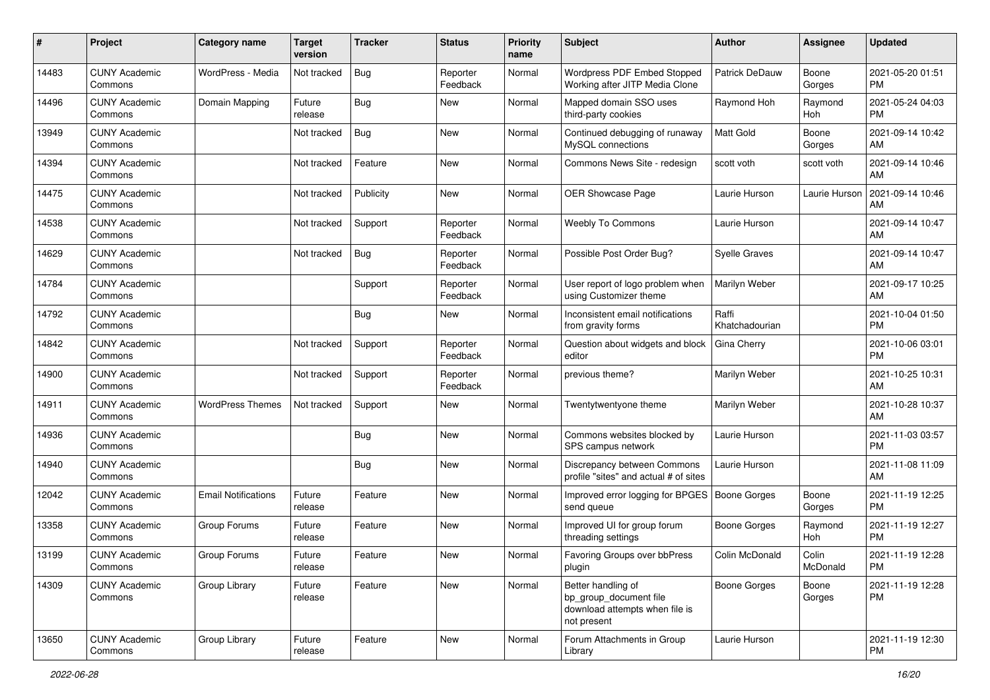| #     | Project                         | <b>Category name</b>       | <b>Target</b><br>version | <b>Tracker</b> | <b>Status</b>        | <b>Priority</b><br>name | <b>Subject</b>                                                                                | Author                  | <b>Assignee</b>   | <b>Updated</b>                |
|-------|---------------------------------|----------------------------|--------------------------|----------------|----------------------|-------------------------|-----------------------------------------------------------------------------------------------|-------------------------|-------------------|-------------------------------|
| 14483 | <b>CUNY Academic</b><br>Commons | WordPress - Media          | Not tracked              | <b>Bug</b>     | Reporter<br>Feedback | Normal                  | <b>Wordpress PDF Embed Stopped</b><br>Working after JITP Media Clone                          | <b>Patrick DeDauw</b>   | Boone<br>Gorges   | 2021-05-20 01:51<br><b>PM</b> |
| 14496 | <b>CUNY Academic</b><br>Commons | Domain Mapping             | Future<br>release        | Bug            | New                  | Normal                  | Mapped domain SSO uses<br>third-party cookies                                                 | Raymond Hoh             | Raymond<br>Hoh    | 2021-05-24 04:03<br><b>PM</b> |
| 13949 | <b>CUNY Academic</b><br>Commons |                            | Not tracked              | <b>Bug</b>     | New                  | Normal                  | Continued debugging of runaway<br>MySQL connections                                           | <b>Matt Gold</b>        | Boone<br>Gorges   | 2021-09-14 10:42<br>AM        |
| 14394 | <b>CUNY Academic</b><br>Commons |                            | Not tracked              | Feature        | <b>New</b>           | Normal                  | Commons News Site - redesign                                                                  | scott voth              | scott voth        | 2021-09-14 10:46<br>AM        |
| 14475 | <b>CUNY Academic</b><br>Commons |                            | Not tracked              | Publicity      | <b>New</b>           | Normal                  | OER Showcase Page                                                                             | Laurie Hurson           | Laurie Hurson     | 2021-09-14 10:46<br>AM        |
| 14538 | <b>CUNY Academic</b><br>Commons |                            | Not tracked              | Support        | Reporter<br>Feedback | Normal                  | <b>Weebly To Commons</b>                                                                      | Laurie Hurson           |                   | 2021-09-14 10:47<br>AM        |
| 14629 | <b>CUNY Academic</b><br>Commons |                            | Not tracked              | Bug            | Reporter<br>Feedback | Normal                  | Possible Post Order Bug?                                                                      | <b>Syelle Graves</b>    |                   | 2021-09-14 10:47<br>AM        |
| 14784 | <b>CUNY Academic</b><br>Commons |                            |                          | Support        | Reporter<br>Feedback | Normal                  | User report of logo problem when<br>using Customizer theme                                    | Marilyn Weber           |                   | 2021-09-17 10:25<br>AM        |
| 14792 | <b>CUNY Academic</b><br>Commons |                            |                          | <b>Bug</b>     | New                  | Normal                  | Inconsistent email notifications<br>from gravity forms                                        | Raffi<br>Khatchadourian |                   | 2021-10-04 01:50<br><b>PM</b> |
| 14842 | <b>CUNY Academic</b><br>Commons |                            | Not tracked              | Support        | Reporter<br>Feedback | Normal                  | Question about widgets and block<br>editor                                                    | Gina Cherry             |                   | 2021-10-06 03:01<br><b>PM</b> |
| 14900 | <b>CUNY Academic</b><br>Commons |                            | Not tracked              | Support        | Reporter<br>Feedback | Normal                  | previous theme?                                                                               | Marilyn Weber           |                   | 2021-10-25 10:31<br>AM        |
| 14911 | <b>CUNY Academic</b><br>Commons | <b>WordPress Themes</b>    | Not tracked              | Support        | New                  | Normal                  | Twentytwentyone theme                                                                         | Marilyn Weber           |                   | 2021-10-28 10:37<br>AM        |
| 14936 | <b>CUNY Academic</b><br>Commons |                            |                          | <b>Bug</b>     | <b>New</b>           | Normal                  | Commons websites blocked by<br>SPS campus network                                             | Laurie Hurson           |                   | 2021-11-03 03:57<br><b>PM</b> |
| 14940 | <b>CUNY Academic</b><br>Commons |                            |                          | <b>Bug</b>     | New                  | Normal                  | Discrepancy between Commons<br>profile "sites" and actual # of sites                          | Laurie Hurson           |                   | 2021-11-08 11:09<br>AM        |
| 12042 | <b>CUNY Academic</b><br>Commons | <b>Email Notifications</b> | Future<br>release        | Feature        | <b>New</b>           | Normal                  | Improved error logging for BPGES<br>send queue                                                | <b>Boone Gorges</b>     | Boone<br>Gorges   | 2021-11-19 12:25<br><b>PM</b> |
| 13358 | <b>CUNY Academic</b><br>Commons | Group Forums               | Future<br>release        | Feature        | New                  | Normal                  | Improved UI for group forum<br>threading settings                                             | Boone Gorges            | Raymond<br>Hoh    | 2021-11-19 12:27<br><b>PM</b> |
| 13199 | <b>CUNY Academic</b><br>Commons | Group Forums               | Future<br>release        | Feature        | New                  | Normal                  | Favoring Groups over bbPress<br>plugin                                                        | Colin McDonald          | Colin<br>McDonald | 2021-11-19 12:28<br>PM        |
| 14309 | <b>CUNY Academic</b><br>Commons | Group Library              | Future<br>release        | Feature        | New                  | Normal                  | Better handling of<br>bp_group_document file<br>download attempts when file is<br>not present | <b>Boone Gorges</b>     | Boone<br>Gorges   | 2021-11-19 12:28<br><b>PM</b> |
| 13650 | <b>CUNY Academic</b><br>Commons | Group Library              | Future<br>release        | Feature        | New                  | Normal                  | Forum Attachments in Group<br>Library                                                         | Laurie Hurson           |                   | 2021-11-19 12:30<br><b>PM</b> |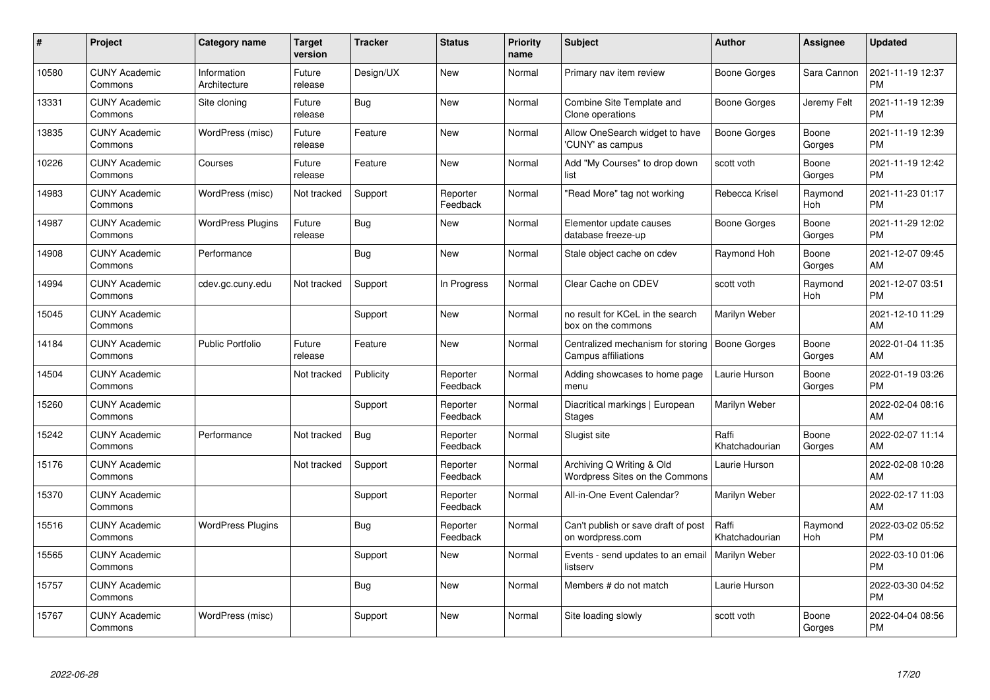| #     | Project                         | Category name               | <b>Target</b><br>version | <b>Tracker</b> | <b>Status</b>        | <b>Priority</b><br>name | <b>Subject</b>                                              | <b>Author</b>           | Assignee        | <b>Updated</b>                |
|-------|---------------------------------|-----------------------------|--------------------------|----------------|----------------------|-------------------------|-------------------------------------------------------------|-------------------------|-----------------|-------------------------------|
| 10580 | <b>CUNY Academic</b><br>Commons | Information<br>Architecture | Future<br>release        | Design/UX      | <b>New</b>           | Normal                  | Primary nav item review                                     | Boone Gorges            | Sara Cannon     | 2021-11-19 12:37<br><b>PM</b> |
| 13331 | <b>CUNY Academic</b><br>Commons | Site cloning                | Future<br>release        | Bug            | <b>New</b>           | Normal                  | Combine Site Template and<br>Clone operations               | Boone Gorges            | Jeremy Felt     | 2021-11-19 12:39<br><b>PM</b> |
| 13835 | <b>CUNY Academic</b><br>Commons | WordPress (misc)            | Future<br>release        | Feature        | New                  | Normal                  | Allow OneSearch widget to have<br>'CUNY' as campus          | <b>Boone Gorges</b>     | Boone<br>Gorges | 2021-11-19 12:39<br><b>PM</b> |
| 10226 | <b>CUNY Academic</b><br>Commons | Courses                     | Future<br>release        | Feature        | <b>New</b>           | Normal                  | Add "My Courses" to drop down<br>list                       | scott voth              | Boone<br>Gorges | 2021-11-19 12:42<br><b>PM</b> |
| 14983 | <b>CUNY Academic</b><br>Commons | WordPress (misc)            | Not tracked              | Support        | Reporter<br>Feedback | Normal                  | "Read More" tag not working                                 | Rebecca Krisel          | Raymond<br>Hoh  | 2021-11-23 01:17<br><b>PM</b> |
| 14987 | <b>CUNY Academic</b><br>Commons | <b>WordPress Plugins</b>    | Future<br>release        | Bug            | New                  | Normal                  | Elementor update causes<br>database freeze-up               | Boone Gorges            | Boone<br>Gorges | 2021-11-29 12:02<br><b>PM</b> |
| 14908 | <b>CUNY Academic</b><br>Commons | Performance                 |                          | <b>Bug</b>     | <b>New</b>           | Normal                  | Stale object cache on cdev                                  | Raymond Hoh             | Boone<br>Gorges | 2021-12-07 09:45<br>AM        |
| 14994 | <b>CUNY Academic</b><br>Commons | cdev.gc.cuny.edu            | Not tracked              | Support        | In Progress          | Normal                  | Clear Cache on CDEV                                         | scott voth              | Raymond<br>Hoh  | 2021-12-07 03:51<br><b>PM</b> |
| 15045 | <b>CUNY Academic</b><br>Commons |                             |                          | Support        | <b>New</b>           | Normal                  | no result for KCeL in the search<br>box on the commons      | Marilyn Weber           |                 | 2021-12-10 11:29<br>AM        |
| 14184 | <b>CUNY Academic</b><br>Commons | <b>Public Portfolio</b>     | Future<br>release        | Feature        | <b>New</b>           | Normal                  | Centralized mechanism for storing<br>Campus affiliations    | <b>Boone Gorges</b>     | Boone<br>Gorges | 2022-01-04 11:35<br>AM        |
| 14504 | <b>CUNY Academic</b><br>Commons |                             | Not tracked              | Publicity      | Reporter<br>Feedback | Normal                  | Adding showcases to home page<br>menu                       | Laurie Hurson           | Boone<br>Gorges | 2022-01-19 03:26<br><b>PM</b> |
| 15260 | <b>CUNY Academic</b><br>Commons |                             |                          | Support        | Reporter<br>Feedback | Normal                  | Diacritical markings   European<br><b>Stages</b>            | Marilyn Weber           |                 | 2022-02-04 08:16<br>AM        |
| 15242 | <b>CUNY Academic</b><br>Commons | Performance                 | Not tracked              | Bug            | Reporter<br>Feedback | Normal                  | Slugist site                                                | Raffi<br>Khatchadourian | Boone<br>Gorges | 2022-02-07 11:14<br>AM        |
| 15176 | <b>CUNY Academic</b><br>Commons |                             | Not tracked              | Support        | Reporter<br>Feedback | Normal                  | Archiving Q Writing & Old<br>Wordpress Sites on the Commons | Laurie Hurson           |                 | 2022-02-08 10:28<br>AM        |
| 15370 | <b>CUNY Academic</b><br>Commons |                             |                          | Support        | Reporter<br>Feedback | Normal                  | All-in-One Event Calendar?                                  | Marilyn Weber           |                 | 2022-02-17 11:03<br>AM        |
| 15516 | <b>CUNY Academic</b><br>Commons | <b>WordPress Plugins</b>    |                          | Bug            | Reporter<br>Feedback | Normal                  | Can't publish or save draft of post<br>on wordpress.com     | Raffi<br>Khatchadourian | Raymond<br>Hoh  | 2022-03-02 05:52<br><b>PM</b> |
| 15565 | <b>CUNY Academic</b><br>Commons |                             |                          | Support        | New                  | Normal                  | Events - send updates to an email<br>listserv               | <b>Marilyn Weber</b>    |                 | 2022-03-10 01:06<br><b>PM</b> |
| 15757 | <b>CUNY Academic</b><br>Commons |                             |                          | <b>Bug</b>     | New                  | Normal                  | Members # do not match                                      | Laurie Hurson           |                 | 2022-03-30 04:52<br><b>PM</b> |
| 15767 | <b>CUNY Academic</b><br>Commons | WordPress (misc)            |                          | Support        | <b>New</b>           | Normal                  | Site loading slowly                                         | scott voth              | Boone<br>Gorges | 2022-04-04 08:56<br><b>PM</b> |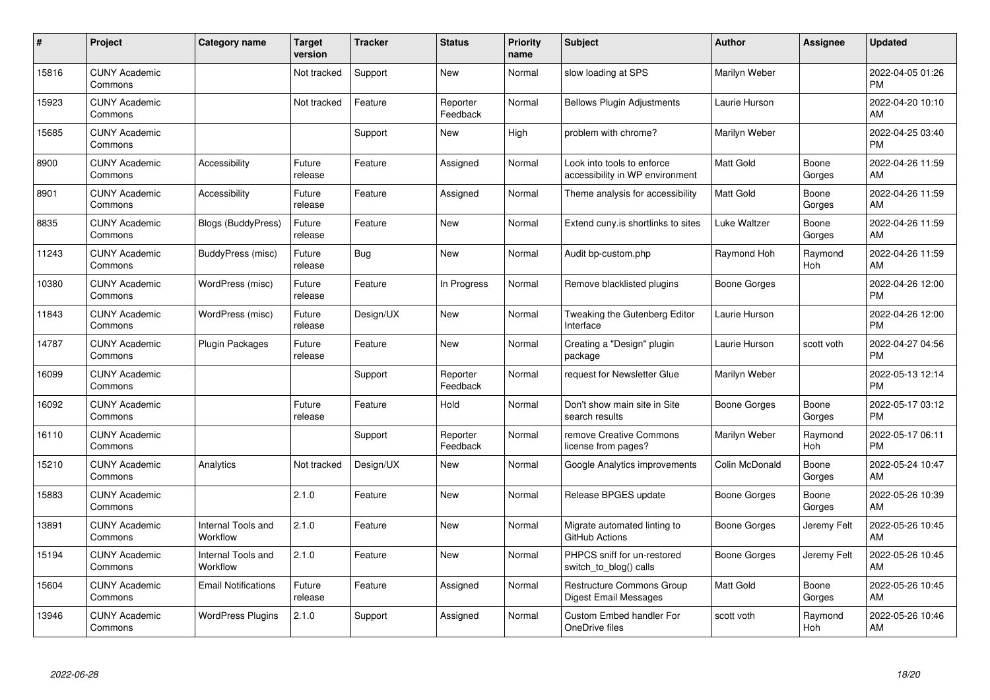| #     | Project                         | <b>Category name</b>           | <b>Target</b><br>version | <b>Tracker</b> | <b>Status</b>        | <b>Priority</b><br>name | <b>Subject</b>                                                | <b>Author</b>    | <b>Assignee</b> | <b>Updated</b>                |
|-------|---------------------------------|--------------------------------|--------------------------|----------------|----------------------|-------------------------|---------------------------------------------------------------|------------------|-----------------|-------------------------------|
| 15816 | <b>CUNY Academic</b><br>Commons |                                | Not tracked              | Support        | <b>New</b>           | Normal                  | slow loading at SPS                                           | Marilyn Weber    |                 | 2022-04-05 01:26<br><b>PM</b> |
| 15923 | <b>CUNY Academic</b><br>Commons |                                | Not tracked              | Feature        | Reporter<br>Feedback | Normal                  | <b>Bellows Plugin Adjustments</b>                             | Laurie Hurson    |                 | 2022-04-20 10:10<br>AM        |
| 15685 | <b>CUNY Academic</b><br>Commons |                                |                          | Support        | New                  | High                    | problem with chrome?                                          | Marilyn Weber    |                 | 2022-04-25 03:40<br><b>PM</b> |
| 8900  | <b>CUNY Academic</b><br>Commons | Accessibility                  | Future<br>release        | Feature        | Assigned             | Normal                  | Look into tools to enforce<br>accessibility in WP environment | <b>Matt Gold</b> | Boone<br>Gorges | 2022-04-26 11:59<br>AM        |
| 8901  | <b>CUNY Academic</b><br>Commons | Accessibility                  | Future<br>release        | Feature        | Assigned             | Normal                  | Theme analysis for accessibility                              | Matt Gold        | Boone<br>Gorges | 2022-04-26 11:59<br>AM        |
| 8835  | <b>CUNY Academic</b><br>Commons | <b>Blogs (BuddyPress)</b>      | Future<br>release        | Feature        | <b>New</b>           | Normal                  | Extend cuny is shortlinks to sites                            | Luke Waltzer     | Boone<br>Gorges | 2022-04-26 11:59<br>AM        |
| 11243 | <b>CUNY Academic</b><br>Commons | BuddyPress (misc)              | Future<br>release        | <b>Bug</b>     | <b>New</b>           | Normal                  | Audit bp-custom.php                                           | Raymond Hoh      | Raymond<br>Hoh  | 2022-04-26 11:59<br>AM        |
| 10380 | <b>CUNY Academic</b><br>Commons | WordPress (misc)               | Future<br>release        | Feature        | In Progress          | Normal                  | Remove blacklisted plugins                                    | Boone Gorges     |                 | 2022-04-26 12:00<br><b>PM</b> |
| 11843 | <b>CUNY Academic</b><br>Commons | WordPress (misc)               | Future<br>release        | Design/UX      | <b>New</b>           | Normal                  | Tweaking the Gutenberg Editor<br>Interface                    | Laurie Hurson    |                 | 2022-04-26 12:00<br><b>PM</b> |
| 14787 | <b>CUNY Academic</b><br>Commons | <b>Plugin Packages</b>         | Future<br>release        | Feature        | <b>New</b>           | Normal                  | Creating a "Design" plugin<br>package                         | Laurie Hurson    | scott voth      | 2022-04-27 04:56<br><b>PM</b> |
| 16099 | <b>CUNY Academic</b><br>Commons |                                |                          | Support        | Reporter<br>Feedback | Normal                  | request for Newsletter Glue                                   | Marilyn Weber    |                 | 2022-05-13 12:14<br><b>PM</b> |
| 16092 | <b>CUNY Academic</b><br>Commons |                                | Future<br>release        | Feature        | Hold                 | Normal                  | Don't show main site in Site<br>search results                | Boone Gorges     | Boone<br>Gorges | 2022-05-17 03:12<br><b>PM</b> |
| 16110 | <b>CUNY Academic</b><br>Commons |                                |                          | Support        | Reporter<br>Feedback | Normal                  | remove Creative Commons<br>license from pages?                | Marilyn Weber    | Raymond<br>Hoh  | 2022-05-17 06:11<br><b>PM</b> |
| 15210 | <b>CUNY Academic</b><br>Commons | Analytics                      | Not tracked              | Design/UX      | <b>New</b>           | Normal                  | Google Analytics improvements                                 | Colin McDonald   | Boone<br>Gorges | 2022-05-24 10:47<br>AM        |
| 15883 | <b>CUNY Academic</b><br>Commons |                                | 2.1.0                    | Feature        | <b>New</b>           | Normal                  | Release BPGES update                                          | Boone Gorges     | Boone<br>Gorges | 2022-05-26 10:39<br>AM        |
| 13891 | <b>CUNY Academic</b><br>Commons | Internal Tools and<br>Workflow | 2.1.0                    | Feature        | <b>New</b>           | Normal                  | Migrate automated linting to<br>GitHub Actions                | Boone Gorges     | Jeremy Felt     | 2022-05-26 10:45<br>AM        |
| 15194 | <b>CUNY Academic</b><br>Commons | Internal Tools and<br>Workflow | 2.1.0                    | Feature        | <b>New</b>           | Normal                  | PHPCS sniff for un-restored<br>switch_to_blog() calls         | Boone Gorges     | Jeremy Felt     | 2022-05-26 10:45<br>AM        |
| 15604 | <b>CUNY Academic</b><br>Commons | <b>Email Notifications</b>     | Future<br>release        | Feature        | Assigned             | Normal                  | Restructure Commons Group<br>Digest Email Messages            | <b>Matt Gold</b> | Boone<br>Gorges | 2022-05-26 10:45<br>AM        |
| 13946 | <b>CUNY Academic</b><br>Commons | <b>WordPress Plugins</b>       | 2.1.0                    | Support        | Assigned             | Normal                  | Custom Embed handler For<br>OneDrive files                    | scott voth       | Raymond<br>Hoh  | 2022-05-26 10:46<br>AM        |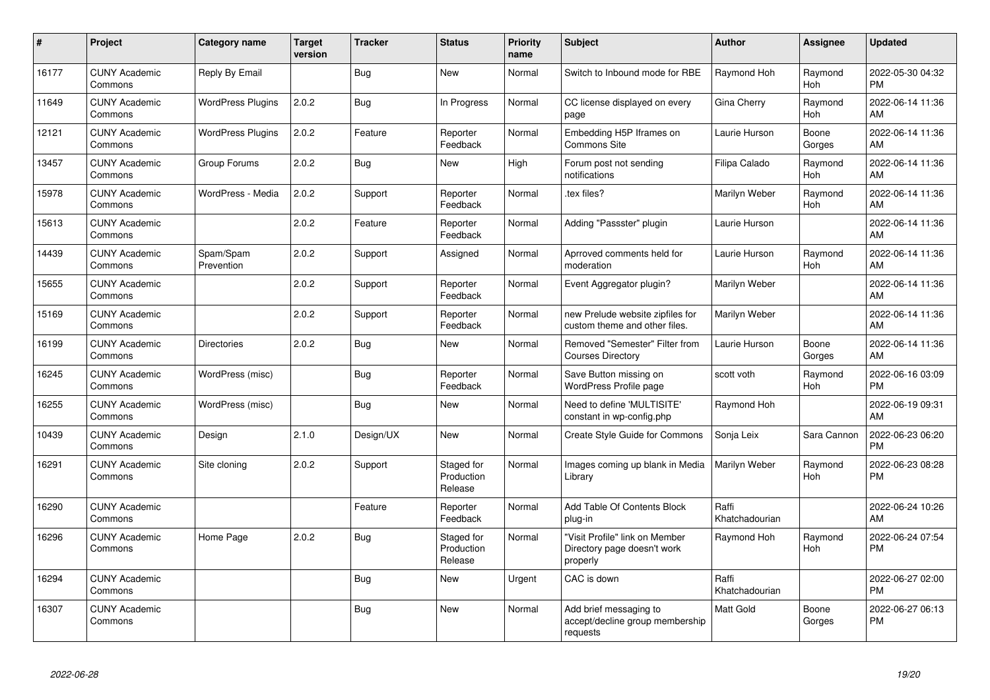| $\#$  | Project                         | Category name            | <b>Target</b><br>version | <b>Tracker</b> | <b>Status</b>                       | <b>Priority</b><br>name | <b>Subject</b>                                                            | Author                  | <b>Assignee</b>       | <b>Updated</b>                |
|-------|---------------------------------|--------------------------|--------------------------|----------------|-------------------------------------|-------------------------|---------------------------------------------------------------------------|-------------------------|-----------------------|-------------------------------|
| 16177 | <b>CUNY Academic</b><br>Commons | Reply By Email           |                          | <b>Bug</b>     | <b>New</b>                          | Normal                  | Switch to Inbound mode for RBE                                            | Raymond Hoh             | Raymond<br>Hoh        | 2022-05-30 04:32<br><b>PM</b> |
| 11649 | <b>CUNY Academic</b><br>Commons | <b>WordPress Plugins</b> | 2.0.2                    | Bug            | In Progress                         | Normal                  | CC license displayed on every<br>page                                     | Gina Cherry             | Raymond<br>Hoh        | 2022-06-14 11:36<br>AM        |
| 12121 | <b>CUNY Academic</b><br>Commons | WordPress Plugins        | 2.0.2                    | Feature        | Reporter<br>Feedback                | Normal                  | Embedding H5P Iframes on<br>Commons Site                                  | Laurie Hurson           | Boone<br>Gorges       | 2022-06-14 11:36<br>AM        |
| 13457 | <b>CUNY Academic</b><br>Commons | Group Forums             | 2.0.2                    | <b>Bug</b>     | <b>New</b>                          | High                    | Forum post not sending<br>notifications                                   | Filipa Calado           | Raymond<br><b>Hoh</b> | 2022-06-14 11:36<br>AM        |
| 15978 | <b>CUNY Academic</b><br>Commons | WordPress - Media        | 2.0.2                    | Support        | Reporter<br>Feedback                | Normal                  | tex files?                                                                | Marilyn Weber           | Raymond<br><b>Hoh</b> | 2022-06-14 11:36<br>AM        |
| 15613 | <b>CUNY Academic</b><br>Commons |                          | 2.0.2                    | Feature        | Reporter<br>Feedback                | Normal                  | Adding "Passster" plugin                                                  | Laurie Hurson           |                       | 2022-06-14 11:36<br>AM        |
| 14439 | <b>CUNY Academic</b><br>Commons | Spam/Spam<br>Prevention  | 2.0.2                    | Support        | Assigned                            | Normal                  | Aprroved comments held for<br>moderation                                  | Laurie Hurson           | Raymond<br>Hoh        | 2022-06-14 11:36<br>AM        |
| 15655 | <b>CUNY Academic</b><br>Commons |                          | 2.0.2                    | Support        | Reporter<br>Feedback                | Normal                  | Event Aggregator plugin?                                                  | Marilyn Weber           |                       | 2022-06-14 11:36<br>AM        |
| 15169 | <b>CUNY Academic</b><br>Commons |                          | 2.0.2                    | Support        | Reporter<br>Feedback                | Normal                  | new Prelude website zipfiles for<br>custom theme and other files.         | Marilyn Weber           |                       | 2022-06-14 11:36<br>AM        |
| 16199 | <b>CUNY Academic</b><br>Commons | <b>Directories</b>       | 2.0.2                    | Bug            | <b>New</b>                          | Normal                  | Removed "Semester" Filter from<br><b>Courses Directory</b>                | Laurie Hurson           | Boone<br>Gorges       | 2022-06-14 11:36<br>AM        |
| 16245 | <b>CUNY Academic</b><br>Commons | WordPress (misc)         |                          | <b>Bug</b>     | Reporter<br>Feedback                | Normal                  | Save Button missing on<br>WordPress Profile page                          | scott voth              | Raymond<br><b>Hoh</b> | 2022-06-16 03:09<br><b>PM</b> |
| 16255 | <b>CUNY Academic</b><br>Commons | WordPress (misc)         |                          | <b>Bug</b>     | <b>New</b>                          | Normal                  | Need to define 'MULTISITE'<br>constant in wp-config.php                   | Raymond Hoh             |                       | 2022-06-19 09:31<br>AM        |
| 10439 | <b>CUNY Academic</b><br>Commons | Design                   | 2.1.0                    | Design/UX      | <b>New</b>                          | Normal                  | Create Style Guide for Commons                                            | Sonja Leix              | Sara Cannon           | 2022-06-23 06:20<br><b>PM</b> |
| 16291 | <b>CUNY Academic</b><br>Commons | Site cloning             | 2.0.2                    | Support        | Staged for<br>Production<br>Release | Normal                  | Images coming up blank in Media<br>Library                                | Marilyn Weber           | Raymond<br>Hoh        | 2022-06-23 08:28<br><b>PM</b> |
| 16290 | <b>CUNY Academic</b><br>Commons |                          |                          | Feature        | Reporter<br>Feedback                | Normal                  | Add Table Of Contents Block<br>plug-in                                    | Raffi<br>Khatchadourian |                       | 2022-06-24 10:26<br>AM        |
| 16296 | <b>CUNY Academic</b><br>Commons | Home Page                | 2.0.2                    | Bug            | Staged for<br>Production<br>Release | Normal                  | "Visit Profile" link on Member<br>Directory page doesn't work<br>properly | Raymond Hoh             | Raymond<br><b>Hoh</b> | 2022-06-24 07:54<br><b>PM</b> |
| 16294 | <b>CUNY Academic</b><br>Commons |                          |                          | Bug            | <b>New</b>                          | Urgent                  | CAC is down                                                               | Raffi<br>Khatchadourian |                       | 2022-06-27 02:00<br><b>PM</b> |
| 16307 | <b>CUNY Academic</b><br>Commons |                          |                          | <b>Bug</b>     | <b>New</b>                          | Normal                  | Add brief messaging to<br>accept/decline group membership<br>requests     | Matt Gold               | Boone<br>Gorges       | 2022-06-27 06:13<br><b>PM</b> |